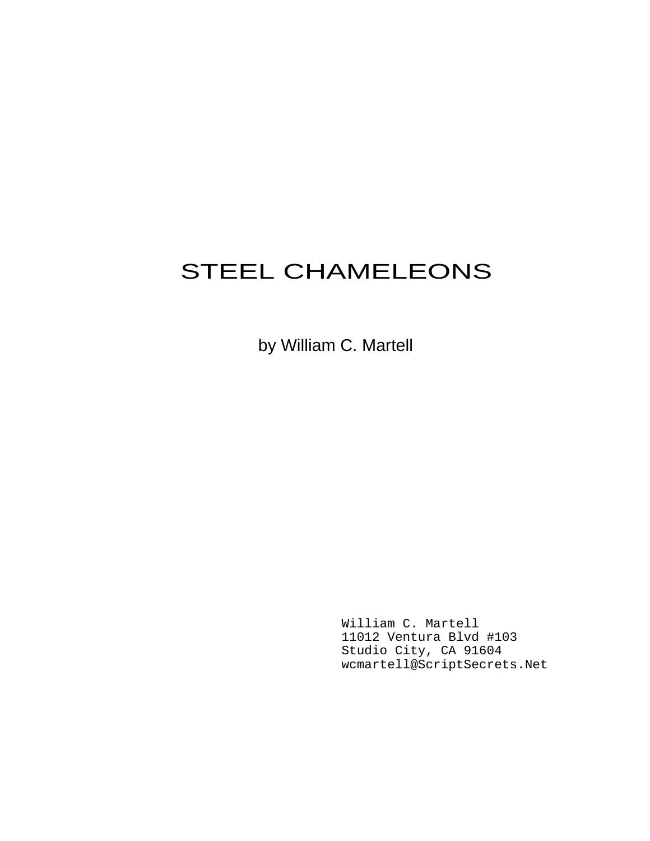# STEEL CHAMELEONS

by William C. Martell

William C. Martell 11012 Ventura Blvd #103 Studio City, CA 91604 wcmartell@ScriptSecrets.Net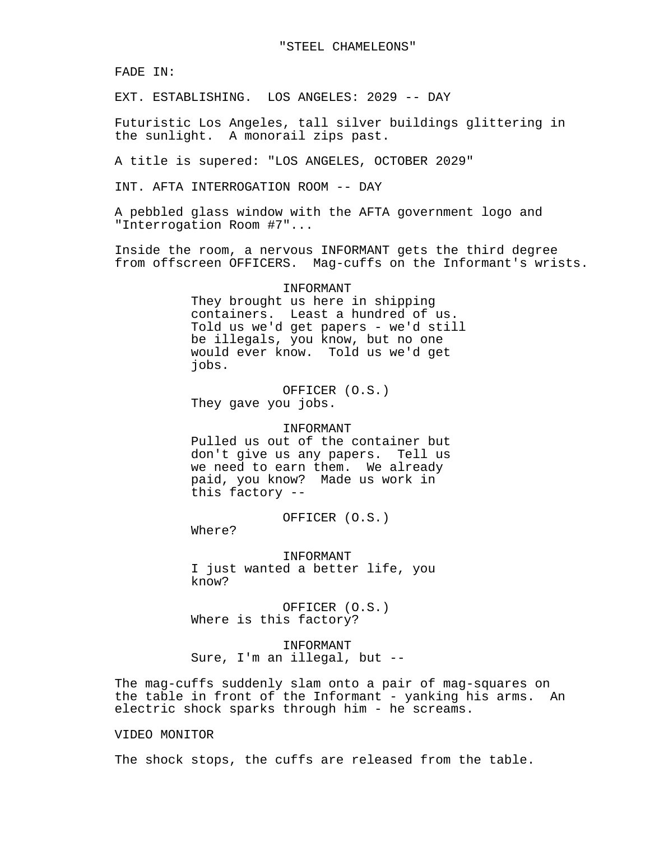FADE IN:

EXT. ESTABLISHING. LOS ANGELES: 2029 -- DAY

Futuristic Los Angeles, tall silver buildings glittering in the sunlight. A monorail zips past.

A title is supered: "LOS ANGELES, OCTOBER 2029"

INT. AFTA INTERROGATION ROOM -- DAY

A pebbled glass window with the AFTA government logo and "Interrogation Room #7"...

Inside the room, a nervous INFORMANT gets the third degree from offscreen OFFICERS. Mag-cuffs on the Informant's wrists.

#### INFORMANT

They brought us here in shipping containers. Least a hundred of us. Told us we'd get papers - we'd still be illegals, you know, but no one would ever know. Told us we'd get jobs.

OFFICER (O.S.) They gave you jobs.

#### INFORMANT

Pulled us out of the container but don't give us any papers. Tell us we need to earn them. We already paid, you know? Made us work in this factory --

OFFICER (O.S.)

Where?

INFORMANT I just wanted a better life, you know?

OFFICER (O.S.) Where is this factory?

INFORMANT Sure, I'm an illegal, but --

The mag-cuffs suddenly slam onto a pair of mag-squares on the table in front of the Informant - yanking his arms. An electric shock sparks through him - he screams.

#### VIDEO MONITOR

The shock stops, the cuffs are released from the table.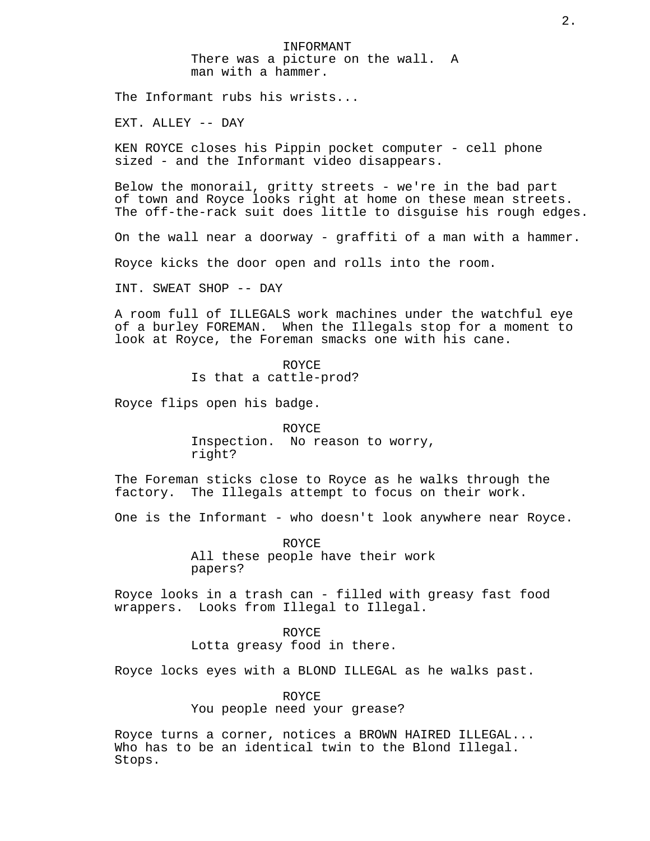INFORMANT There was a picture on the wall. A man with a hammer.

The Informant rubs his wrists...

EXT. ALLEY -- DAY

KEN ROYCE closes his Pippin pocket computer - cell phone sized - and the Informant video disappears.

Below the monorail, gritty streets - we're in the bad part of town and Royce looks right at home on these mean streets. The off-the-rack suit does little to disguise his rough edges.

On the wall near a doorway - graffiti of a man with a hammer.

Royce kicks the door open and rolls into the room.

INT. SWEAT SHOP -- DAY

A room full of ILLEGALS work machines under the watchful eye of a burley FOREMAN. When the Illegals stop for a moment to look at Royce, the Foreman smacks one with his cane.

#### ROYCE

Is that a cattle-prod?

Royce flips open his badge.

ROYCE Inspection. No reason to worry, right?

The Foreman sticks close to Royce as he walks through the factory. The Illegals attempt to focus on their work.

One is the Informant - who doesn't look anywhere near Royce.

ROYCE All these people have their work papers?

Royce looks in a trash can - filled with greasy fast food wrappers. Looks from Illegal to Illegal.

> ROYCE Lotta greasy food in there.

Royce locks eyes with a BLOND ILLEGAL as he walks past.

ROYCE You people need your grease?

Royce turns a corner, notices a BROWN HAIRED ILLEGAL... Who has to be an identical twin to the Blond Illegal. Stops.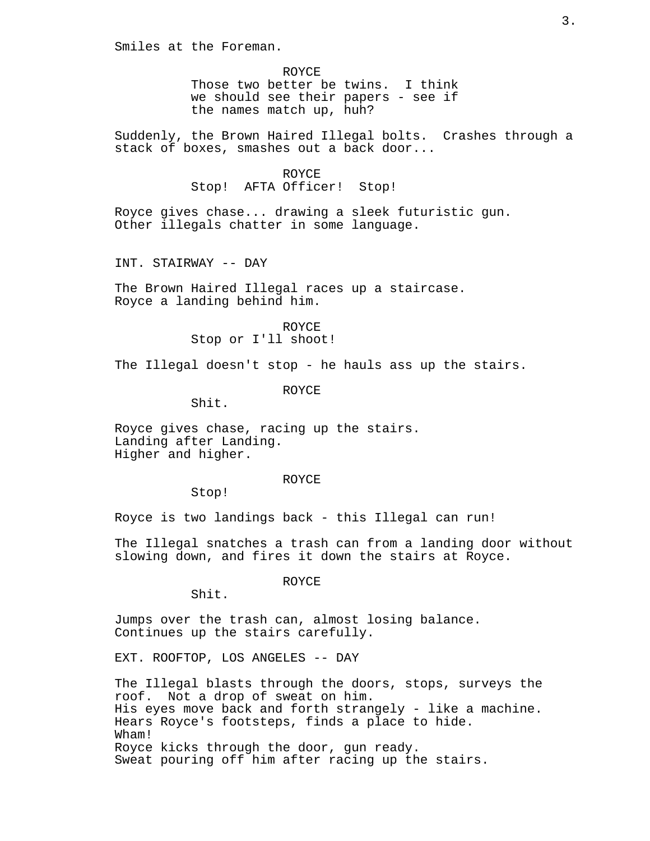Smiles at the Foreman.

ROYCE Those two better be twins. I think we should see their papers - see if the names match up, huh?

Suddenly, the Brown Haired Illegal bolts. Crashes through a stack of boxes, smashes out a back door...

> ROYCE Stop! AFTA Officer! Stop!

Royce gives chase... drawing a sleek futuristic gun. Other illegals chatter in some language.

INT. STAIRWAY -- DAY

The Brown Haired Illegal races up a staircase. Royce a landing behind him.

> ROYCE Stop or I'll shoot!

The Illegal doesn't stop - he hauls ass up the stairs.

ROYCE

Shit.

Royce gives chase, racing up the stairs. Landing after Landing. Higher and higher.

ROYCE

Stop!

Royce is two landings back - this Illegal can run!

The Illegal snatches a trash can from a landing door without slowing down, and fires it down the stairs at Royce.

ROYCE

Shit.

Jumps over the trash can, almost losing balance. Continues up the stairs carefully.

EXT. ROOFTOP, LOS ANGELES -- DAY

The Illegal blasts through the doors, stops, surveys the roof. Not a drop of sweat on him. His eyes move back and forth strangely - like a machine. Hears Royce's footsteps, finds a place to hide. Wham! Royce kicks through the door, gun ready. Sweat pouring off him after racing up the stairs.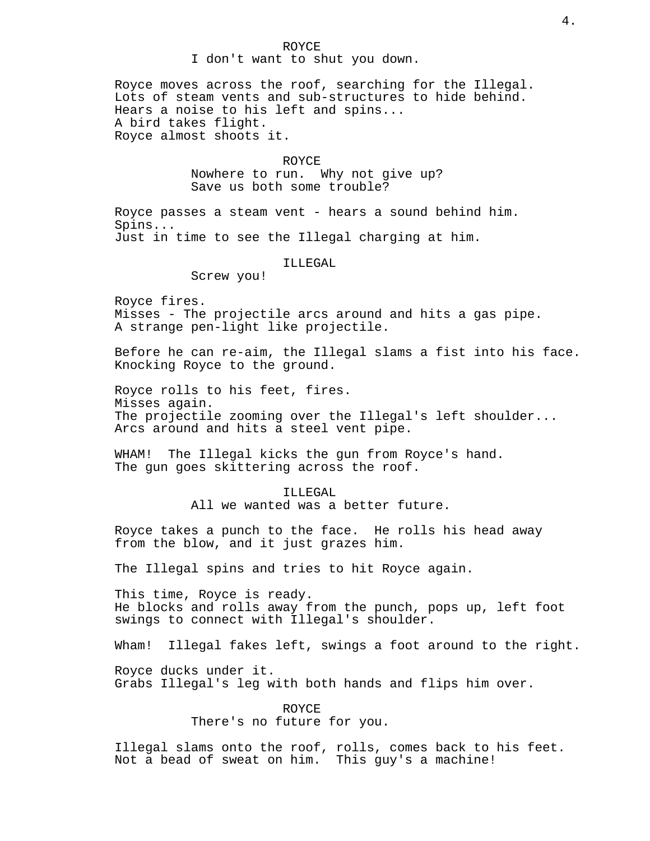ROYCE I don't want to shut you down.

Royce moves across the roof, searching for the Illegal. Lots of steam vents and sub-structures to hide behind. Hears a noise to his left and spins... A bird takes flight. Royce almost shoots it.

#### ROYCE

Nowhere to run. Why not give up? Save us both some trouble?

Royce passes a steam vent - hears a sound behind him. Spins... Just in time to see the Illegal charging at him.

ILLEGAL

Screw you!

Royce fires. Misses - The projectile arcs around and hits a gas pipe. A strange pen-light like projectile.

Before he can re-aim, the Illegal slams a fist into his face. Knocking Royce to the ground.

Royce rolls to his feet, fires. Misses again. The projectile zooming over the Illegal's left shoulder... Arcs around and hits a steel vent pipe.

WHAM! The Illegal kicks the gun from Royce's hand. The gun goes skittering across the roof.

> ILLEGAL All we wanted was a better future.

Royce takes a punch to the face. He rolls his head away from the blow, and it just grazes him.

The Illegal spins and tries to hit Royce again.

This time, Royce is ready. He blocks and rolls away from the punch, pops up, left foot swings to connect with Illegal's shoulder.

Wham! Illegal fakes left, swings a foot around to the right.

Royce ducks under it. Grabs Illegal's leg with both hands and flips him over.

> ROYCE There's no future for you.

Illegal slams onto the roof, rolls, comes back to his feet. Not a bead of sweat on him. This guy's a machine!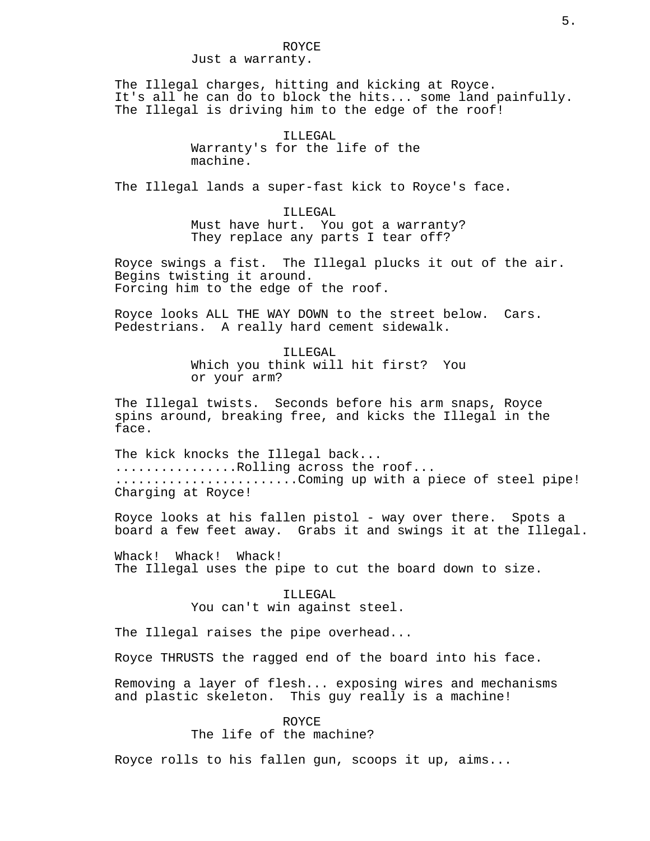The Illegal charges, hitting and kicking at Royce. It's all he can do to block the hits... some land painfully. The Illegal is driving him to the edge of the roof!

> ILLEGAL Warranty's for the life of the machine.

The Illegal lands a super-fast kick to Royce's face.

ILLEGAL Must have hurt. You got a warranty? They replace any parts I tear off?

Royce swings a fist. The Illegal plucks it out of the air. Begins twisting it around. Forcing him to the edge of the roof.

Royce looks ALL THE WAY DOWN to the street below. Cars. Pedestrians. A really hard cement sidewalk.

> ILLEGAL Which you think will hit first? You or your arm?

The Illegal twists. Seconds before his arm snaps, Royce spins around, breaking free, and kicks the Illegal in the face.

The kick knocks the Illegal back... ................Rolling across the roof... ........................Coming up with a piece of steel pipe! Charging at Royce!

Royce looks at his fallen pistol - way over there. Spots a board a few feet away. Grabs it and swings it at the Illegal.

Whack! Whack! Whack! The Illegal uses the pipe to cut the board down to size.

## ILLEGAL You can't win against steel.

The Illegal raises the pipe overhead...

Royce THRUSTS the ragged end of the board into his face.

Removing a layer of flesh... exposing wires and mechanisms and plastic skeleton. This guy really is a machine!

> ROYCE The life of the machine?

Royce rolls to his fallen gun, scoops it up, aims...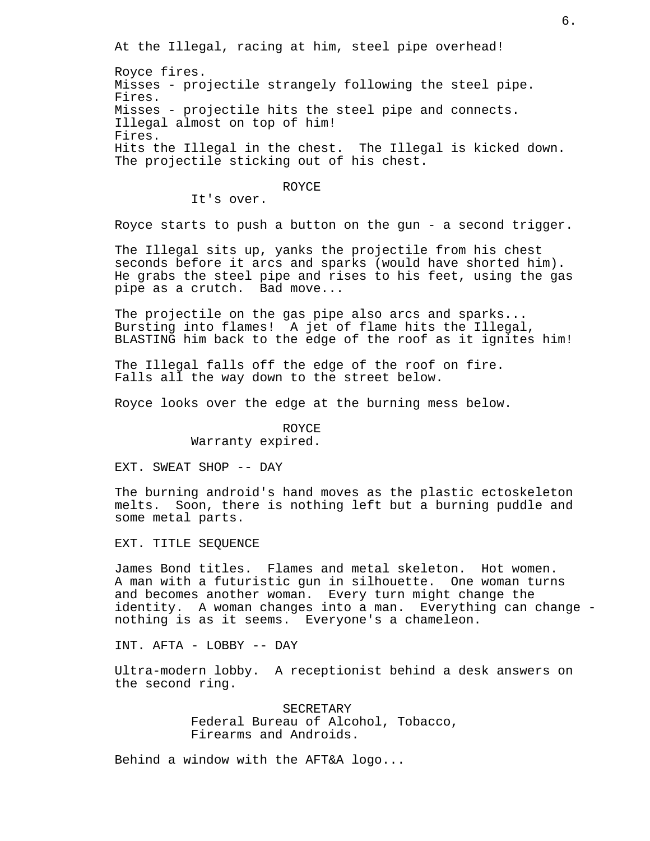At the Illegal, racing at him, steel pipe overhead!

Royce fires. Misses - projectile strangely following the steel pipe. Fires. Misses - projectile hits the steel pipe and connects. Illegal almost on top of him! Fires. Hits the Illegal in the chest. The Illegal is kicked down. The projectile sticking out of his chest.

#### ROYCE

It's over.

Royce starts to push a button on the gun - a second trigger.

The Illegal sits up, yanks the projectile from his chest seconds before it arcs and sparks (would have shorted him). He grabs the steel pipe and rises to his feet, using the gas pipe as a crutch. Bad move...

The projectile on the gas pipe also arcs and sparks... Bursting into flames! A jet of flame hits the Illegal, BLASTING him back to the edge of the roof as it ignites him!

The Illegal falls off the edge of the roof on fire. Falls all the way down to the street below.

Royce looks over the edge at the burning mess below.

## ROYCE

Warranty expired.

EXT. SWEAT SHOP -- DAY

The burning android's hand moves as the plastic ectoskeleton melts. Soon, there is nothing left but a burning puddle and some metal parts.

EXT. TITLE SEQUENCE

James Bond titles. Flames and metal skeleton. Hot women. A man with a futuristic gun in silhouette. One woman turns and becomes another woman. Every turn might change the identity. A woman changes into a man. Everything can change nothing is as it seems. Everyone's a chameleon.

INT. AFTA - LOBBY -- DAY

Ultra-modern lobby. A receptionist behind a desk answers on the second ring.

> SECRETARY Federal Bureau of Alcohol, Tobacco, Firearms and Androids.

Behind a window with the AFT&A logo...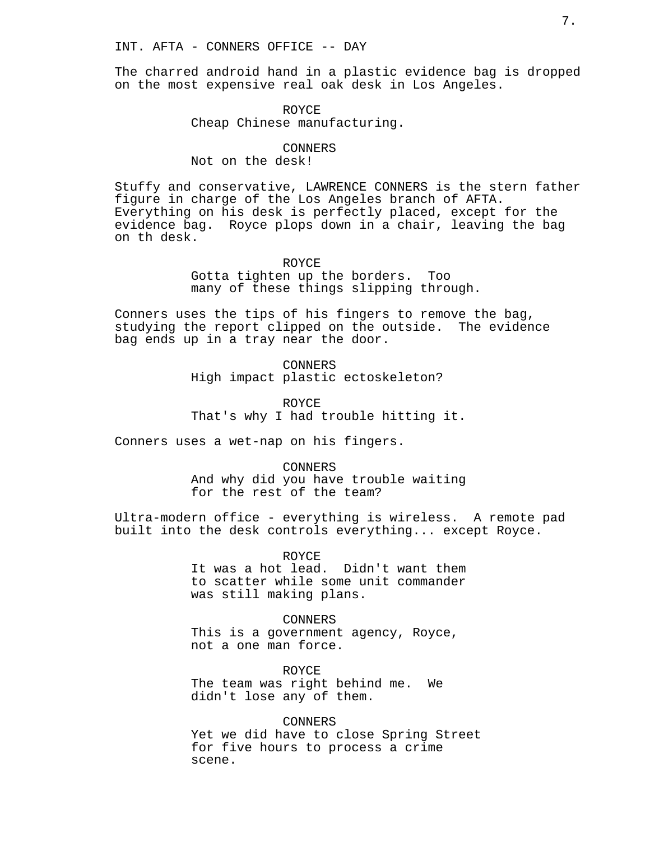The charred android hand in a plastic evidence bag is dropped on the most expensive real oak desk in Los Angeles.

## ROYCE Cheap Chinese manufacturing.

#### CONNERS

## Not on the desk!

Stuffy and conservative, LAWRENCE CONNERS is the stern father figure in charge of the Los Angeles branch of AFTA. Everything on his desk is perfectly placed, except for the evidence bag. Royce plops down in a chair, leaving the bag on th desk.

#### ROYCE

Gotta tighten up the borders. Too many of these things slipping through.

Conners uses the tips of his fingers to remove the bag, studying the report clipped on the outside. The evidence bag ends up in a tray near the door.

> CONNERS High impact plastic ectoskeleton?

ROYCE That's why I had trouble hitting it.

Conners uses a wet-nap on his fingers.

CONNERS

And why did you have trouble waiting for the rest of the team?

Ultra-modern office - everything is wireless. A remote pad built into the desk controls everything... except Royce.

> ROYCE It was a hot lead. Didn't want them to scatter while some unit commander was still making plans.

CONNERS This is a government agency, Royce, not a one man force.

ROYCE The team was right behind me. We didn't lose any of them.

CONNERS Yet we did have to close Spring Street for five hours to process a crime scene.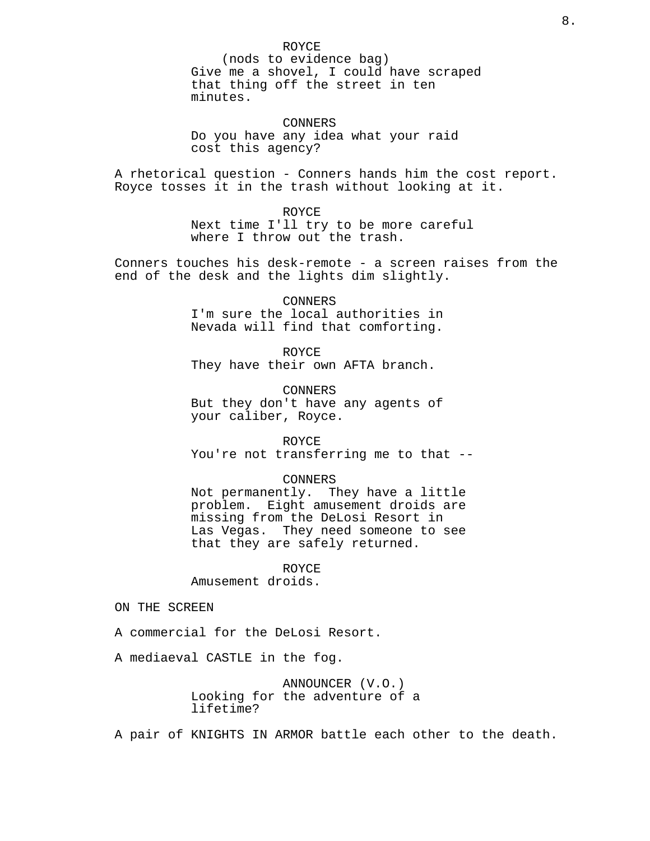ROYCE (nods to evidence bag) Give me a shovel, I could have scraped that thing off the street in ten minutes.

CONNERS Do you have any idea what your raid cost this agency?

A rhetorical question - Conners hands him the cost report. Royce tosses it in the trash without looking at it.

> ROYCE Next time I'll try to be more careful where I throw out the trash.

Conners touches his desk-remote - a screen raises from the end of the desk and the lights dim slightly.

> CONNERS I'm sure the local authorities in Nevada will find that comforting.

ROYCE They have their own AFTA branch.

CONNERS But they don't have any agents of your caliber, Royce.

ROYCE You're not transferring me to that --

CONNERS Not permanently. They have a little problem. Eight amusement droids are

missing from the DeLosi Resort in Las Vegas. They need someone to see that they are safely returned.

ROYCE

Amusement droids.

ON THE SCREEN

A commercial for the DeLosi Resort.

A mediaeval CASTLE in the fog.

ANNOUNCER (V.O.) Looking for the adventure of a lifetime?

A pair of KNIGHTS IN ARMOR battle each other to the death.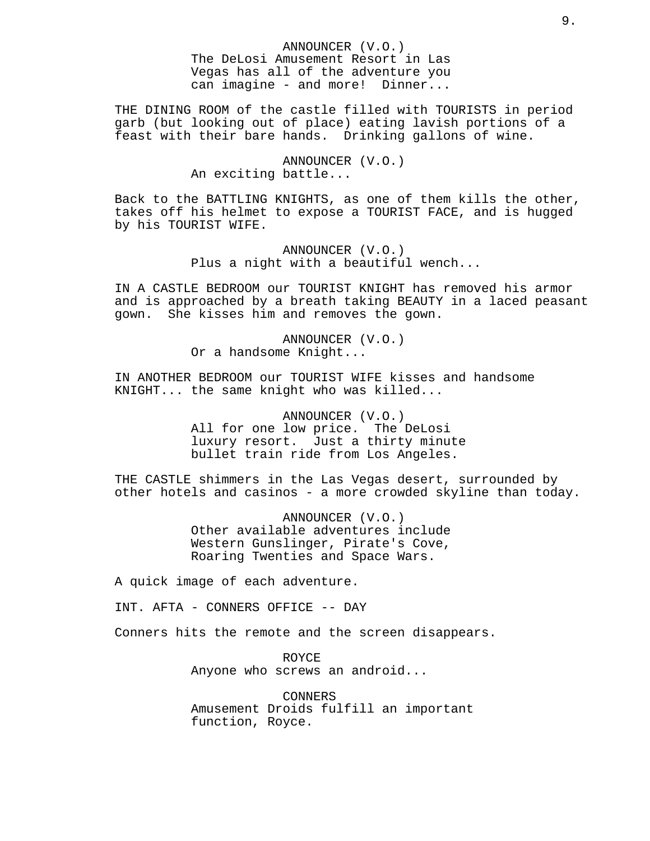THE DINING ROOM of the castle filled with TOURISTS in period garb (but looking out of place) eating lavish portions of a feast with their bare hands. Drinking gallons of wine.

## ANNOUNCER (V.O.) An exciting battle...

Back to the BATTLING KNIGHTS, as one of them kills the other, takes off his helmet to expose a TOURIST FACE, and is hugged by his TOURIST WIFE.

> ANNOUNCER (V.O.) Plus a night with a beautiful wench...

IN A CASTLE BEDROOM our TOURIST KNIGHT has removed his armor and is approached by a breath taking BEAUTY in a laced peasant gown. She kisses him and removes the gown.

> ANNOUNCER (V.O.) Or a handsome Knight...

IN ANOTHER BEDROOM our TOURIST WIFE kisses and handsome KNIGHT... the same knight who was killed...

> ANNOUNCER (V.O.) All for one low price. The DeLosi luxury resort. Just a thirty minute bullet train ride from Los Angeles.

THE CASTLE shimmers in the Las Vegas desert, surrounded by other hotels and casinos - a more crowded skyline than today.

> ANNOUNCER (V.O.) Other available adventures include Western Gunslinger, Pirate's Cove, Roaring Twenties and Space Wars.

A quick image of each adventure.

INT. AFTA - CONNERS OFFICE -- DAY

Conners hits the remote and the screen disappears.

ROYCE Anyone who screws an android...

CONNERS Amusement Droids fulfill an important function, Royce.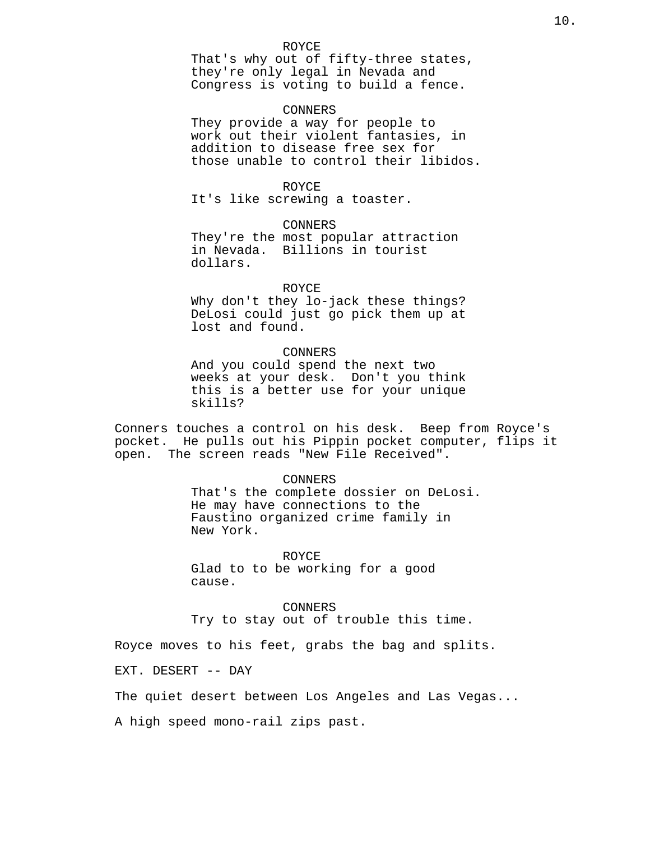That's why out of fifty-three states, they're only legal in Nevada and Congress is voting to build a fence.

#### CONNERS

They provide a way for people to work out their violent fantasies, in addition to disease free sex for those unable to control their libidos.

## ROYCE

It's like screwing a toaster.

#### CONNERS

They're the most popular attraction in Nevada. Billions in tourist dollars.

#### ROYCE

Why don't they lo-jack these things? DeLosi could just go pick them up at lost and found.

## CONNERS

And you could spend the next two weeks at your desk. Don't you think this is a better use for your unique skills?

Conners touches a control on his desk. Beep from Royce's pocket. He pulls out his Pippin pocket computer, flips it open. The screen reads "New File Received".

#### CONNERS

That's the complete dossier on DeLosi. He may have connections to the Faustino organized crime family in New York.

ROYCE

Glad to to be working for a good cause.

CONNERS Try to stay out of trouble this time.

Royce moves to his feet, grabs the bag and splits.

EXT. DESERT -- DAY

The quiet desert between Los Angeles and Las Vegas...

A high speed mono-rail zips past.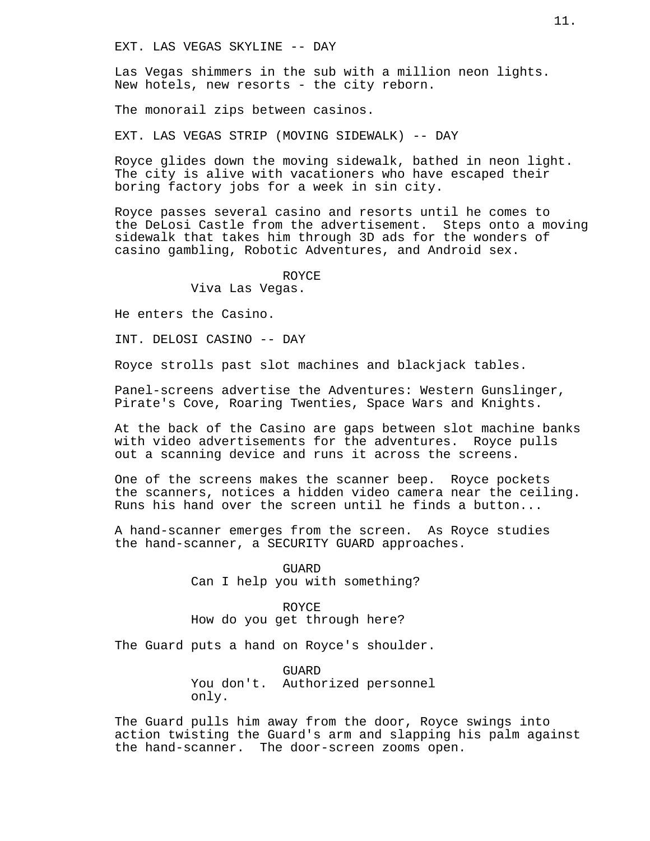Las Vegas shimmers in the sub with a million neon lights. New hotels, new resorts - the city reborn.

The monorail zips between casinos.

EXT. LAS VEGAS STRIP (MOVING SIDEWALK) -- DAY

Royce glides down the moving sidewalk, bathed in neon light. The city is alive with vacationers who have escaped their boring factory jobs for a week in sin city.

Royce passes several casino and resorts until he comes to the DeLosi Castle from the advertisement. Steps onto a moving sidewalk that takes him through 3D ads for the wonders of casino gambling, Robotic Adventures, and Android sex.

ROYCE

Viva Las Vegas.

He enters the Casino.

INT. DELOSI CASINO -- DAY

Royce strolls past slot machines and blackjack tables.

Panel-screens advertise the Adventures: Western Gunslinger, Pirate's Cove, Roaring Twenties, Space Wars and Knights.

At the back of the Casino are gaps between slot machine banks with video advertisements for the adventures. Royce pulls out a scanning device and runs it across the screens.

One of the screens makes the scanner beep. Royce pockets the scanners, notices a hidden video camera near the ceiling. Runs his hand over the screen until he finds a button...

A hand-scanner emerges from the screen. As Royce studies the hand-scanner, a SECURITY GUARD approaches.

> **GUARD** Can I help you with something?

ROYCE How do you get through here?

The Guard puts a hand on Royce's shoulder.

GUARD You don't. Authorized personnel only.

The Guard pulls him away from the door, Royce swings into action twisting the Guard's arm and slapping his palm against the hand-scanner. The door-screen zooms open.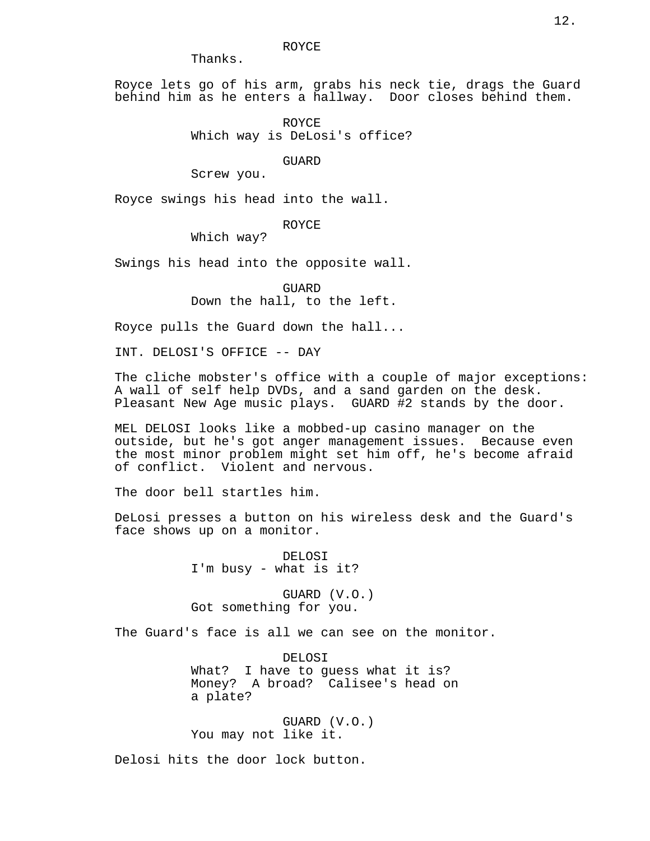Thanks.

Royce lets go of his arm, grabs his neck tie, drags the Guard behind him as he enters a hallway. Door closes behind them.

> ROYCE Which way is DeLosi's office?

> > GUARD

Screw you.

Royce swings his head into the wall.

ROYCE

Which way?

Swings his head into the opposite wall.

GUARD Down the hall, to the left.

Royce pulls the Guard down the hall...

INT. DELOSI'S OFFICE -- DAY

The cliche mobster's office with a couple of major exceptions: A wall of self help DVDs, and a sand garden on the desk. Pleasant New Age music plays. GUARD #2 stands by the door.

MEL DELOSI looks like a mobbed-up casino manager on the outside, but he's got anger management issues. Because even the most minor problem might set him off, he's become afraid of conflict. Violent and nervous.

The door bell startles him.

DeLosi presses a button on his wireless desk and the Guard's face shows up on a monitor.

> DELOSI I'm busy - what is it?

GUARD (V.O.) Got something for you.

The Guard's face is all we can see on the monitor.

DELOSI What? I have to guess what it is? Money? A broad? Calisee's head on a plate?

GUARD (V.O.) You may not like it.

Delosi hits the door lock button.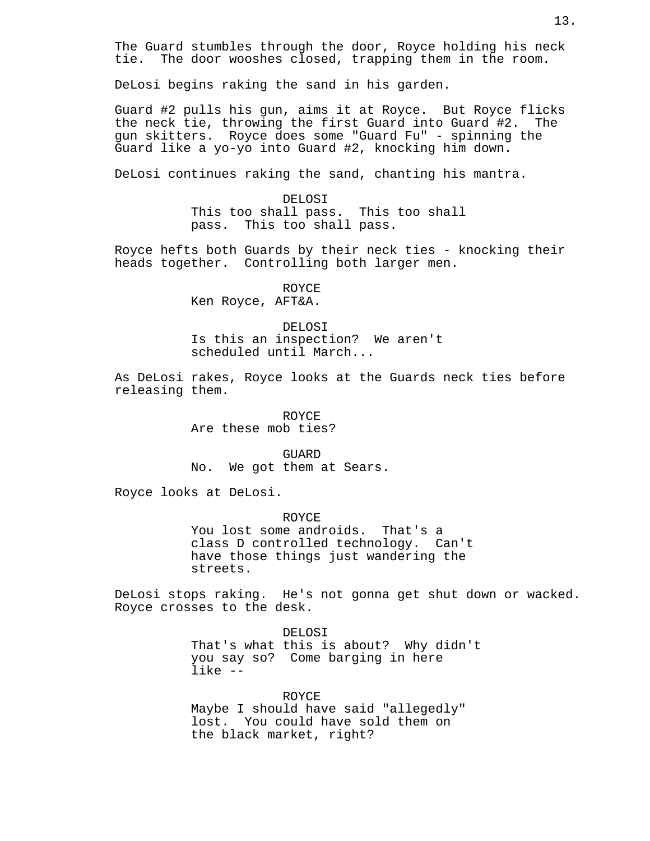The Guard stumbles through the door, Royce holding his neck tie. The door wooshes closed, trapping them in the room.

DeLosi begins raking the sand in his garden.

Guard #2 pulls his gun, aims it at Royce. But Royce flicks the neck tie, throwing the first Guard into Guard #2. The gun skitters. Royce does some "Guard Fu" - spinning the Guard like a yo-yo into Guard #2, knocking him down.

DeLosi continues raking the sand, chanting his mantra.

DELOSI This too shall pass. This too shall pass. This too shall pass.

Royce hefts both Guards by their neck ties - knocking their heads together. Controlling both larger men.

ROYCE

Ken Royce, AFT&A.

DELOSI

Is this an inspection? We aren't scheduled until March...

As DeLosi rakes, Royce looks at the Guards neck ties before releasing them.

> ROYCE Are these mob ties?

GUARD No. We got them at Sears.

Royce looks at DeLosi.

ROYCE You lost some androids. That's a class D controlled technology. Can't have those things just wandering the streets.

DeLosi stops raking. He's not gonna get shut down or wacked. Royce crosses to the desk.

> DELOSI That's what this is about? Why didn't you say so? Come barging in here like --

ROYCE Maybe I should have said "allegedly" lost. You could have sold them on the black market, right?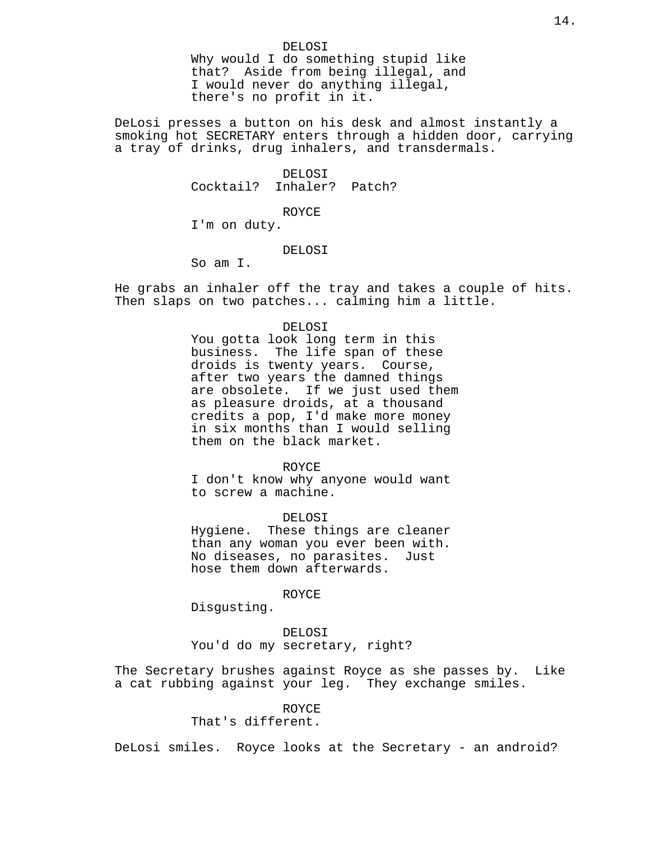Why would I do something stupid like that? Aside from being illegal, and I would never do anything illegal, there's no profit in it.

DeLosi presses a button on his desk and almost instantly a smoking hot SECRETARY enters through a hidden door, carrying a tray of drinks, drug inhalers, and transdermals.

> DELOSI Cocktail? Inhaler? Patch?

> > ROYCE

I'm on duty.

#### DELOSI

So am I.

He grabs an inhaler off the tray and takes a couple of hits. Then slaps on two patches... calming him a little.

#### DELOSI

You gotta look long term in this business. The life span of these droids is twenty years. Course, after two years the damned things are obsolete. If we just used them as pleasure droids, at a thousand credits a pop, I'd make more money in six months than I would selling them on the black market.

#### ROYCE

I don't know why anyone would want to screw a machine.

DELOSI Hygiene. These things are cleaner than any woman you ever been with. No diseases, no parasites. Just

ROYCE

hose them down afterwards.

Disgusting.

## DELOSI You'd do my secretary, right?

The Secretary brushes against Royce as she passes by. Like a cat rubbing against your leg. They exchange smiles.

### ROYCE

That's different.

DeLosi smiles. Royce looks at the Secretary - an android?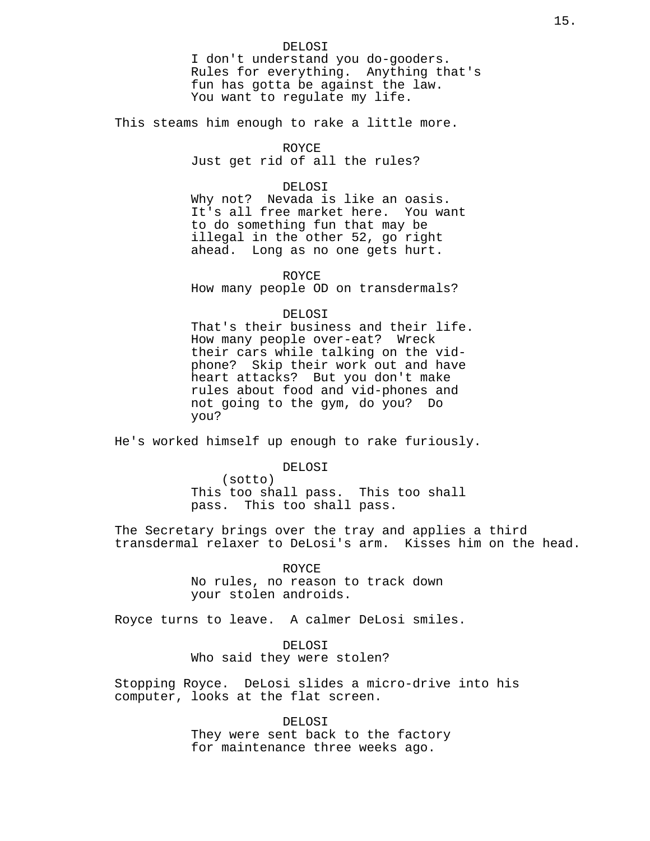This steams him enough to rake a little more.

#### ROYCE

Just get rid of all the rules?

## DELOSI

Why not? Nevada is like an oasis. It's all free market here. You want to do something fun that may be illegal in the other 52, go right ahead. Long as no one gets hurt.

ROYCE

How many people OD on transdermals?

## DELOSI

That's their business and their life. How many people over-eat? Wreck their cars while talking on the vidphone? Skip their work out and have heart attacks? But you don't make rules about food and vid-phones and not going to the gym, do you? Do you?

He's worked himself up enough to rake furiously.

DELOSI

(sotto) This too shall pass. This too shall pass. This too shall pass.

The Secretary brings over the tray and applies a third transdermal relaxer to DeLosi's arm. Kisses him on the head.

> ROYCE No rules, no reason to track down your stolen androids.

Royce turns to leave. A calmer DeLosi smiles.

DELOSI Who said they were stolen?

Stopping Royce. DeLosi slides a micro-drive into his computer, looks at the flat screen.

> DELOSI They were sent back to the factory for maintenance three weeks ago.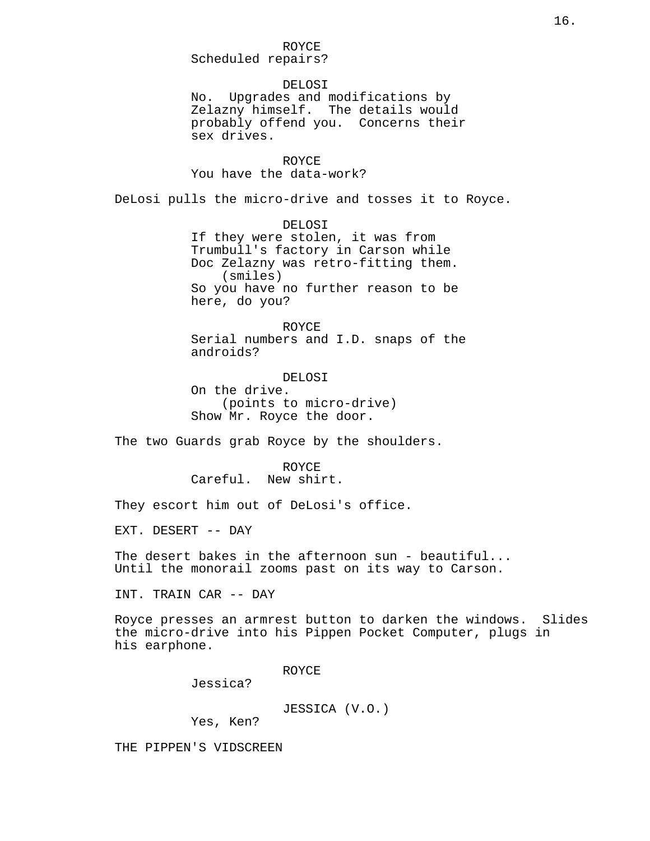Scheduled repairs?

### DELOSI

No. Upgrades and modifications by Zelazny himself. The details would probably offend you. Concerns their sex drives.

## ROYCE

You have the data-work?

DeLosi pulls the micro-drive and tosses it to Royce.

DELOSI If they were stolen, it was from Trumbull's factory in Carson while Doc Zelazny was retro-fitting them. (smiles) So you have no further reason to be here, do you?

#### ROYCE

Serial numbers and I.D. snaps of the androids?

DELOSI On the drive. (points to micro-drive) Show Mr. Royce the door.

The two Guards grab Royce by the shoulders.

ROYCE Careful. New shirt.

They escort him out of DeLosi's office.

EXT. DESERT -- DAY

The desert bakes in the afternoon sun - beautiful... Until the monorail zooms past on its way to Carson.

INT. TRAIN CAR -- DAY

Royce presses an armrest button to darken the windows. Slides the micro-drive into his Pippen Pocket Computer, plugs in his earphone.

ROYCE

Jessica?

JESSICA (V.O.)

Yes, Ken?

THE PIPPEN'S VIDSCREEN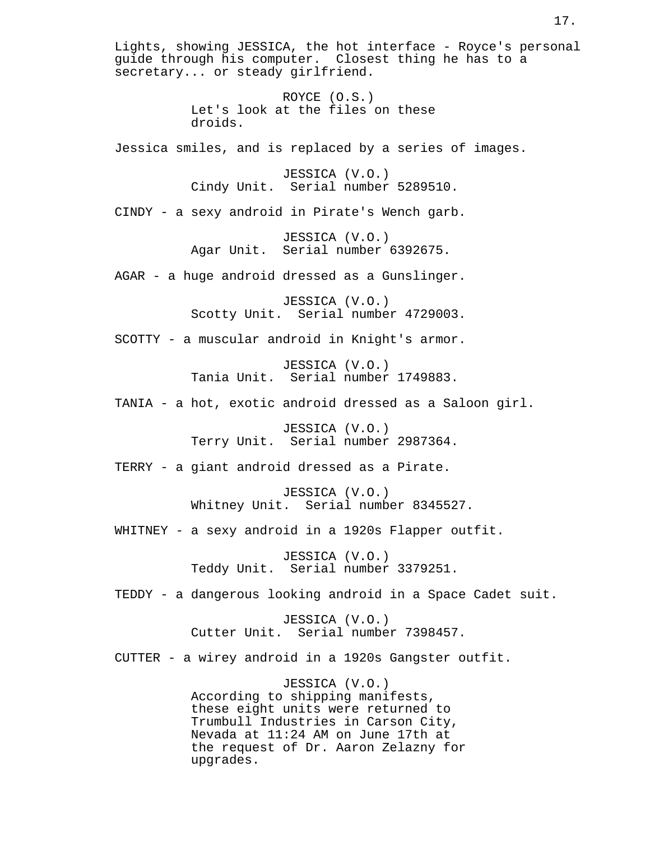Lights, showing JESSICA, the hot interface - Royce's personal guide through his computer. Closest thing he has to a secretary... or steady girlfriend. ROYCE (O.S.) Let's look at the files on these droids. Jessica smiles, and is replaced by a series of images. JESSICA (V.O.) Cindy Unit. Serial number 5289510. CINDY - a sexy android in Pirate's Wench garb. JESSICA (V.O.) Agar Unit. Serial number 6392675. AGAR - a huge android dressed as a Gunslinger. JESSICA (V.O.) Scotty Unit. Serial number 4729003. SCOTTY - a muscular android in Knight's armor. JESSICA (V.O.) Tania Unit. Serial number 1749883. TANIA - a hot, exotic android dressed as a Saloon girl. JESSICA (V.O.) Terry Unit. Serial number 2987364. TERRY - a giant android dressed as a Pirate. JESSICA (V.O.) Whitney Unit. Serial number 8345527. WHITNEY - a sexy android in a 1920s Flapper outfit. JESSICA (V.O.) Teddy Unit. Serial number 3379251. TEDDY - a dangerous looking android in a Space Cadet suit. JESSICA (V.O.) Cutter Unit. Serial number 7398457. CUTTER - a wirey android in a 1920s Gangster outfit. JESSICA (V.O.) According to shipping manifests, these eight units were returned to Trumbull Industries in Carson City, Nevada at 11:24 AM on June 17th at the request of Dr. Aaron Zelazny for upgrades.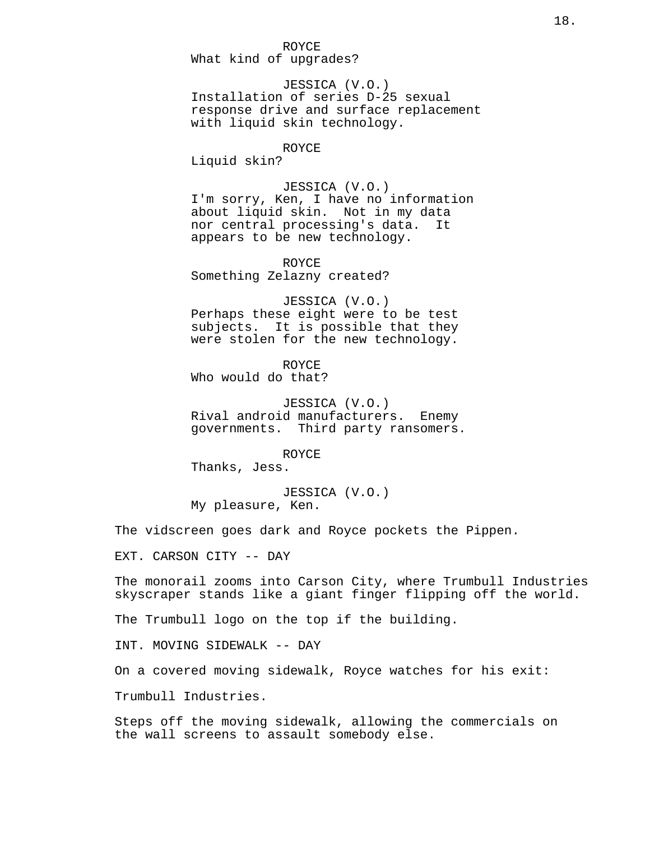#### ROYCE

What kind of upgrades?

JESSICA (V.O.) Installation of series D-25 sexual response drive and surface replacement with liquid skin technology.

#### ROYCE

Liquid skin?

## JESSICA (V.O.)

I'm sorry, Ken, I have no information about liquid skin. Not in my data nor central processing's data. It appears to be new technology.

ROYCE Something Zelazny created?

JESSICA (V.O.) Perhaps these eight were to be test subjects. It is possible that they were stolen for the new technology.

ROYCE Who would do that?

JESSICA (V.O.) Rival android manufacturers. Enemy governments. Third party ransomers.

ROYCE Thanks, Jess.

JESSICA (V.O.) My pleasure, Ken.

The vidscreen goes dark and Royce pockets the Pippen.

EXT. CARSON CITY -- DAY

The monorail zooms into Carson City, where Trumbull Industries skyscraper stands like a giant finger flipping off the world.

The Trumbull logo on the top if the building.

INT. MOVING SIDEWALK -- DAY

On a covered moving sidewalk, Royce watches for his exit:

Trumbull Industries.

Steps off the moving sidewalk, allowing the commercials on the wall screens to assault somebody else.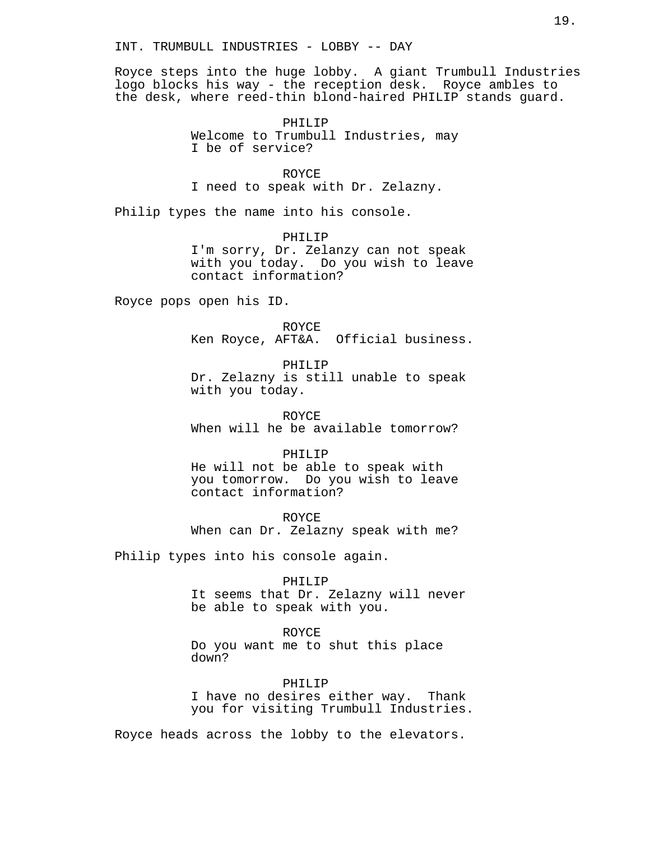## INT. TRUMBULL INDUSTRIES - LOBBY -- DAY

Royce steps into the huge lobby. A giant Trumbull Industries logo blocks his way - the reception desk. Royce ambles to the desk, where reed-thin blond-haired PHILIP stands guard.

> PHILIP Welcome to Trumbull Industries, may I be of service?

ROYCE I need to speak with Dr. Zelazny.

Philip types the name into his console.

PHILIP I'm sorry, Dr. Zelanzy can not speak with you today. Do you wish to leave contact information?

Royce pops open his ID.

ROYCE Ken Royce, AFT&A. Official business.

PHILIP Dr. Zelazny is still unable to speak with you today.

ROYCE When will he be available tomorrow?

PHILIP

He will not be able to speak with you tomorrow. Do you wish to leave contact information?

ROYCE When can Dr. Zelazny speak with me?

Philip types into his console again.

#### PHILIP

It seems that Dr. Zelazny will never be able to speak with you.

ROYCE Do you want me to shut this place down?

## PHILIP

I have no desires either way. Thank you for visiting Trumbull Industries.

Royce heads across the lobby to the elevators.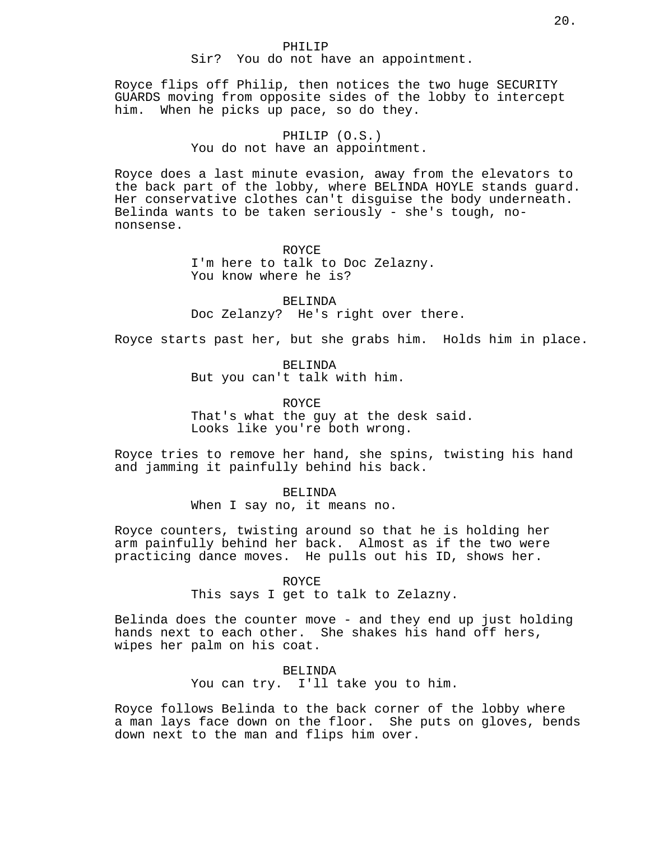## PHILIP Sir? You do not have an appointment.

Royce flips off Philip, then notices the two huge SECURITY GUARDS moving from opposite sides of the lobby to intercept him. When he picks up pace, so do they.

## PHILIP (O.S.)

## You do not have an appointment.

Royce does a last minute evasion, away from the elevators to the back part of the lobby, where BELINDA HOYLE stands guard. Her conservative clothes can't disguise the body underneath. Belinda wants to be taken seriously - she's tough, nononsense.

#### ROYCE

I'm here to talk to Doc Zelazny. You know where he is?

BELINDA Doc Zelanzy? He's right over there.

Royce starts past her, but she grabs him. Holds him in place.

BELINDA

But you can't talk with him.

ROYCE

That's what the guy at the desk said. Looks like you're both wrong.

Royce tries to remove her hand, she spins, twisting his hand and jamming it painfully behind his back.

> BELINDA When I say no, it means no.

Royce counters, twisting around so that he is holding her arm painfully behind her back. Almost as if the two were practicing dance moves. He pulls out his ID, shows her.

#### ROYCE

This says I get to talk to Zelazny.

Belinda does the counter move - and they end up just holding hands next to each other. She shakes his hand off hers, wipes her palm on his coat.

> BELINDA You can try. I'll take you to him.

Royce follows Belinda to the back corner of the lobby where a man lays face down on the floor. She puts on gloves, bends down next to the man and flips him over.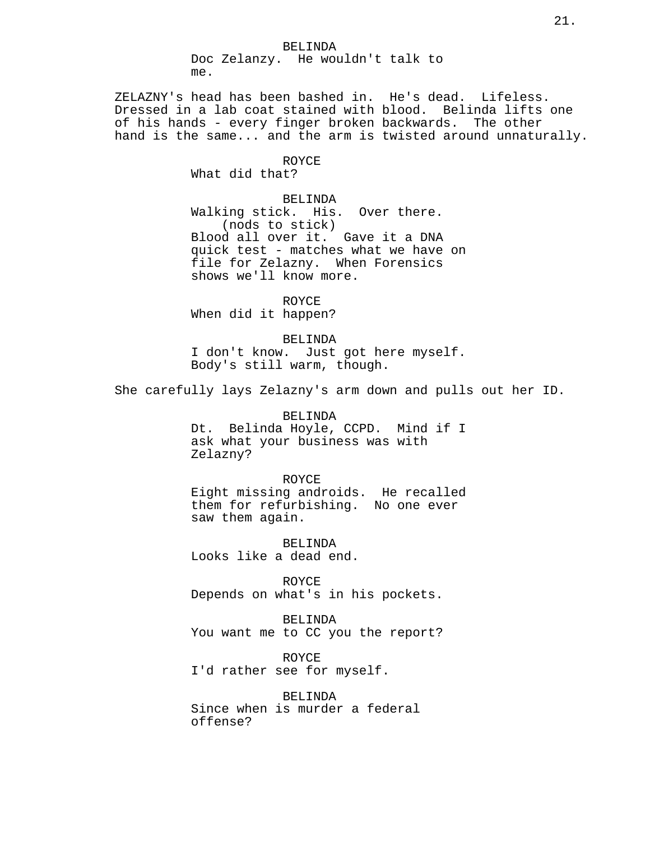ZELAZNY's head has been bashed in. He's dead. Lifeless. Dressed in a lab coat stained with blood. Belinda lifts one of his hands - every finger broken backwards. The other hand is the same... and the arm is twisted around unnaturally.

#### ROYCE

What did that?

## BELINDA

Walking stick. His. Over there. (nods to stick) Blood all over it. Gave it a DNA quick test - matches what we have on file for Zelazny. When Forensics shows we'll know more.

ROYCE When did it happen?

BELINDA I don't know. Just got here myself. Body's still warm, though.

She carefully lays Zelazny's arm down and pulls out her ID.

BELINDA Dt. Belinda Hoyle, CCPD. Mind if I ask what your business was with Zelazny?

ROYCE Eight missing androids. He recalled them for refurbishing. No one ever saw them again.

BELINDA Looks like a dead end.

ROYCE Depends on what's in his pockets.

BELINDA You want me to CC you the report?

ROYCE I'd rather see for myself.

BELINDA Since when is murder a federal offense?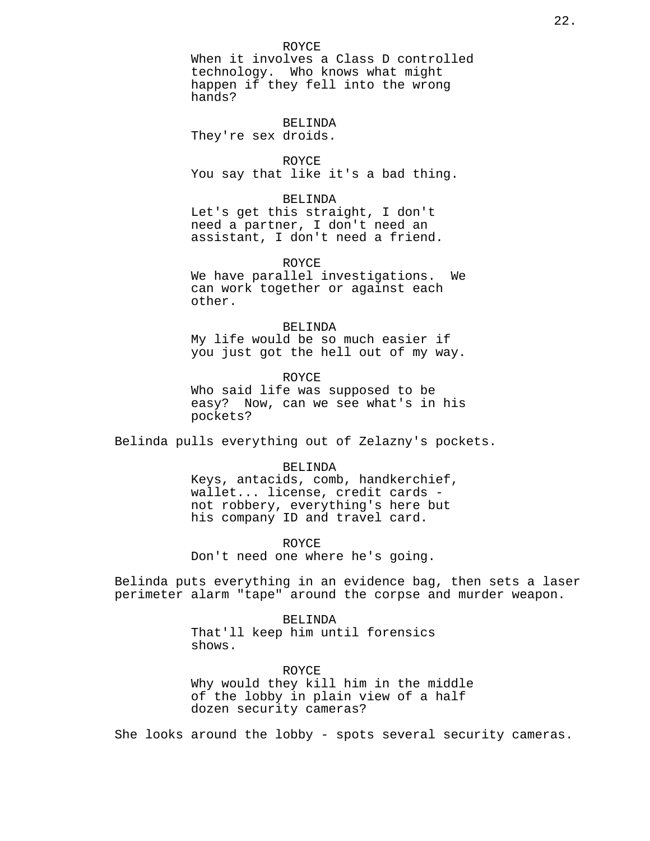## ROYCE

When it involves a Class D controlled technology. Who knows what might happen if they fell into the wrong hands?

BELINDA They're sex droids.

ROYCE You say that like it's a bad thing.

#### BELINDA

Let's get this straight, I don't need a partner, I don't need an assistant, I don't need a friend.

#### ROYCE

We have parallel investigations. We can work together or against each other.

#### BELINDA

My life would be so much easier if you just got the hell out of my way.

ROYCE Who said life was supposed to be easy? Now, can we see what's in his pockets?

Belinda pulls everything out of Zelazny's pockets.

#### BELINDA

Keys, antacids, comb, handkerchief, wallet... license, credit cards not robbery, everything's here but his company ID and travel card.

#### ROYCE

Don't need one where he's going.

Belinda puts everything in an evidence bag, then sets a laser perimeter alarm "tape" around the corpse and murder weapon.

> BELINDA That'll keep him until forensics shows.

ROYCE Why would they kill him in the middle of the lobby in plain view of a half dozen security cameras?

She looks around the lobby - spots several security cameras.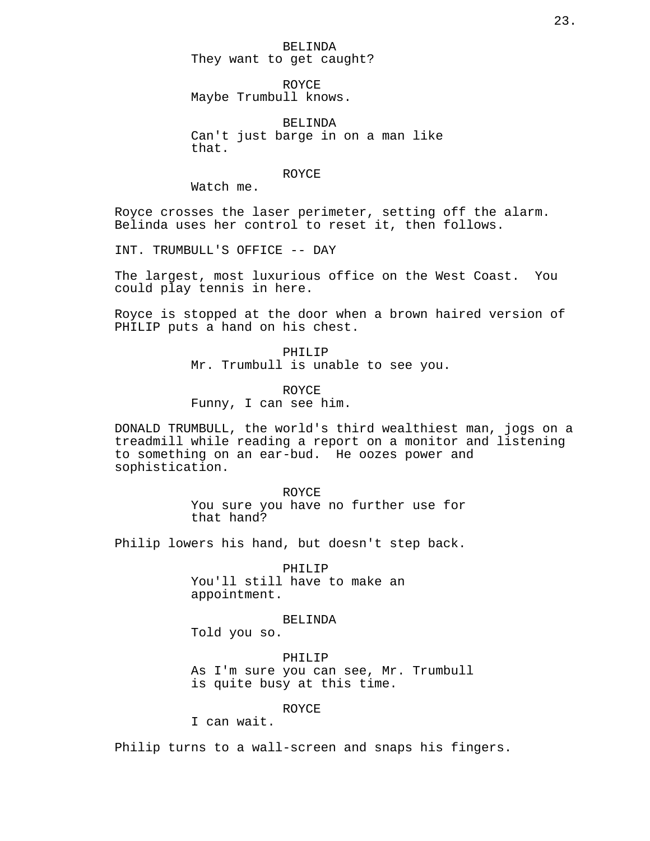BELINDA They want to get caught?

ROYCE Maybe Trumbull knows.

BELINDA Can't just barge in on a man like that.

ROYCE

Watch me.

Royce crosses the laser perimeter, setting off the alarm. Belinda uses her control to reset it, then follows.

INT. TRUMBULL'S OFFICE -- DAY

The largest, most luxurious office on the West Coast. You could play tennis in here.

Royce is stopped at the door when a brown haired version of PHILIP puts a hand on his chest.

> PHILIP Mr. Trumbull is unable to see you.

ROYCE Funny, I can see him.

DONALD TRUMBULL, the world's third wealthiest man, jogs on a treadmill while reading a report on a monitor and listening to something on an ear-bud. He oozes power and sophistication.

> ROYCE You sure you have no further use for that hand?

Philip lowers his hand, but doesn't step back.

PHILIP You'll still have to make an appointment.

BELINDA

Told you so.

PHILIP As I'm sure you can see, Mr. Trumbull is quite busy at this time.

### ROYCE

I can wait.

Philip turns to a wall-screen and snaps his fingers.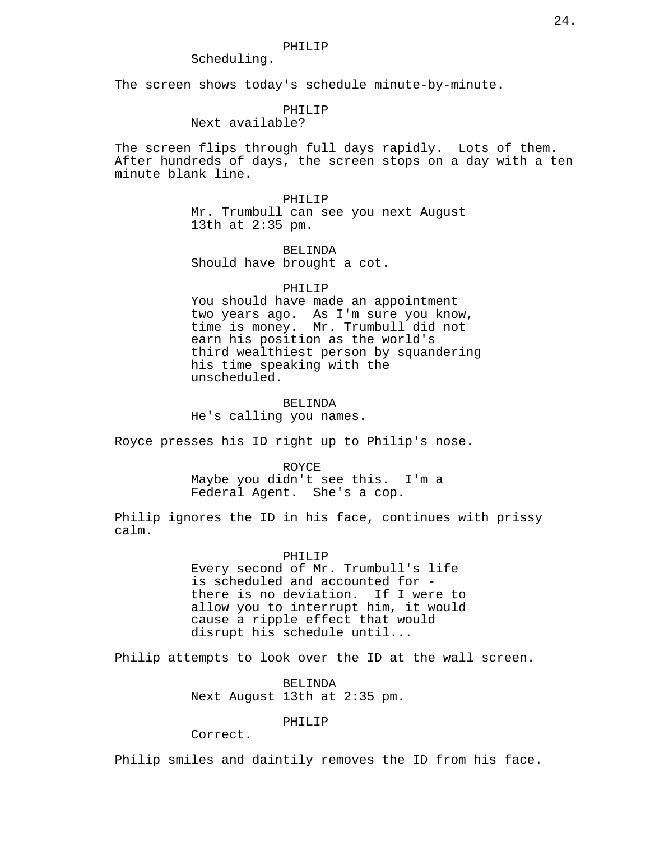## Scheduling.

The screen shows today's schedule minute-by-minute.

## PHILIP

## Next available?

The screen flips through full days rapidly. Lots of them. After hundreds of days, the screen stops on a day with a ten minute blank line.

#### PHILIP

Mr. Trumbull can see you next August 13th at 2:35 pm.

BELINDA Should have brought a cot.

#### PHILIP

You should have made an appointment two years ago. As I'm sure you know, time is money. Mr. Trumbull did not earn his position as the world's third wealthiest person by squandering his time speaking with the unscheduled.

#### BELINDA

He's calling you names.

Royce presses his ID right up to Philip's nose.

#### ROYCE

Maybe you didn't see this. I'm a Federal Agent. She's a cop.

Philip ignores the ID in his face, continues with prissy calm.

#### PHILIP

Every second of Mr. Trumbull's life is scheduled and accounted for there is no deviation. If I were to allow you to interrupt him, it would cause a ripple effect that would disrupt his schedule until...

Philip attempts to look over the ID at the wall screen.

BELINDA Next August 13th at 2:35 pm.

## PHILIP

Correct.

Philip smiles and daintily removes the ID from his face.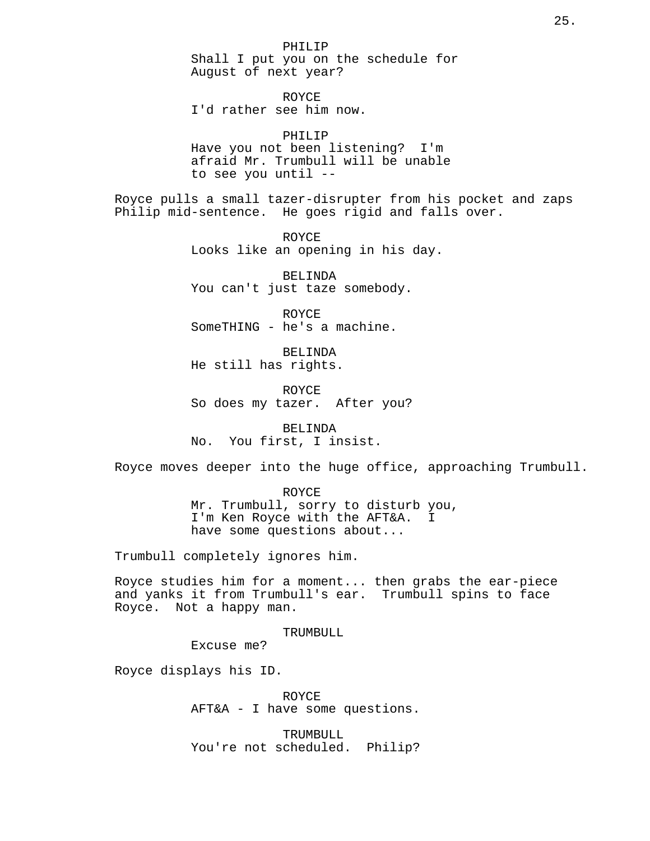PHILIP Shall I put you on the schedule for August of next year?

ROYCE I'd rather see him now.

PHILIP Have you not been listening? I'm afraid Mr. Trumbull will be unable to see you until --

Royce pulls a small tazer-disrupter from his pocket and zaps Philip mid-sentence. He goes rigid and falls over.

> ROYCE Looks like an opening in his day.

BELINDA You can't just taze somebody.

ROYCE SomeTHING - he's a machine.

BELINDA He still has rights.

ROYCE So does my tazer. After you?

BELINDA No. You first, I insist.

Royce moves deeper into the huge office, approaching Trumbull.

ROYCE Mr. Trumbull, sorry to disturb you, I'm Ken Royce with the AFT&A. I have some questions about...

Trumbull completely ignores him.

Royce studies him for a moment... then grabs the ear-piece and yanks it from Trumbull's ear. Trumbull spins to face Royce. Not a happy man.

TRUMBULL

Excuse me?

Royce displays his ID.

ROYCE AFT&A - I have some questions.

TRUMBULL You're not scheduled. Philip?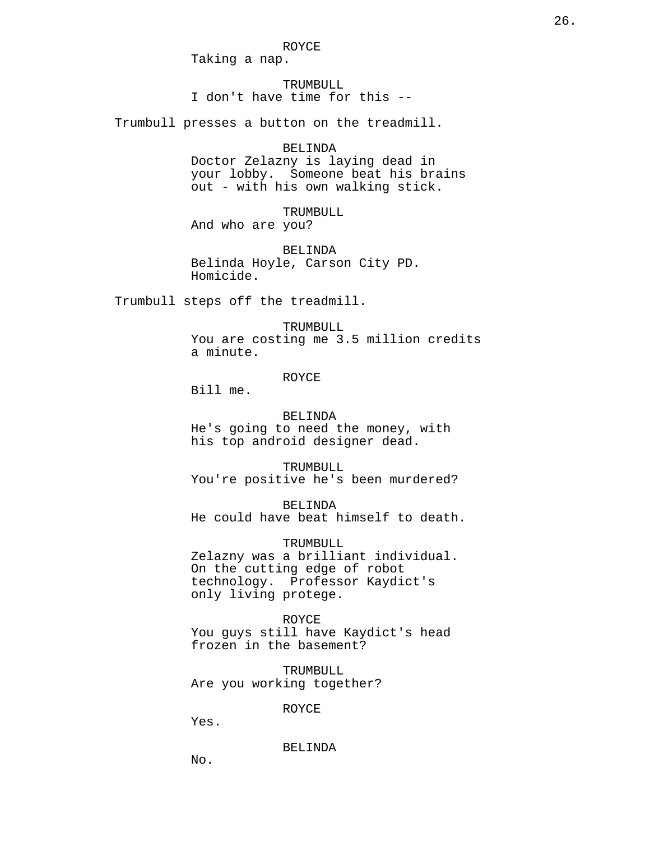ROYCE

Taking a nap.

TRUMBULL I don't have time for this --

Trumbull presses a button on the treadmill.

#### BELINDA

Doctor Zelazny is laying dead in your lobby. Someone beat his brains out - with his own walking stick.

TRUMBULL And who are you?

BELINDA Belinda Hoyle, Carson City PD. Homicide.

Trumbull steps off the treadmill.

#### TRUMBULL

You are costing me 3.5 million credits a minute.

#### ROYCE

Bill me.

#### BELINDA

He's going to need the money, with his top android designer dead.

TRUMBULL You're positive he's been murdered?

BELINDA He could have beat himself to death.

TRUMBULL

Zelazny was a brilliant individual. On the cutting edge of robot technology. Professor Kaydict's only living protege.

## ROYCE

You guys still have Kaydict's head frozen in the basement?

TRUMBULL Are you working together?

ROYCE

Yes.

BELINDA

No.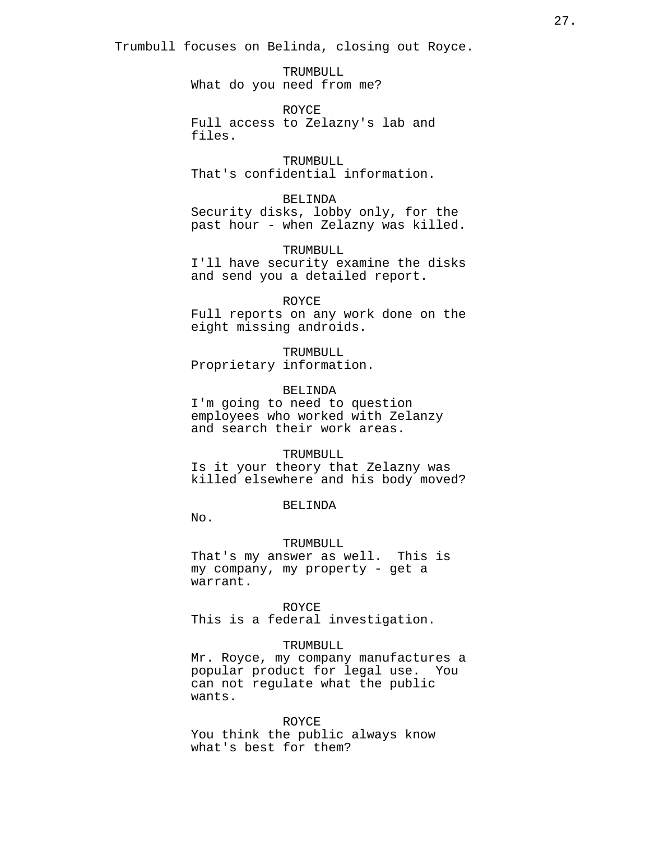Trumbull focuses on Belinda, closing out Royce.

TRUMBULL What do you need from me?

ROYCE Full access to Zelazny's lab and files.

TRUMBULL That's confidential information.

BELINDA Security disks, lobby only, for the past hour - when Zelazny was killed.

TRUMBULL. I'll have security examine the disks and send you a detailed report.

#### ROYCE

Full reports on any work done on the eight missing androids.

TRUMBULL Proprietary information.

#### BELINDA

I'm going to need to question employees who worked with Zelanzy and search their work areas.

#### TRUMBULL

Is it your theory that Zelazny was killed elsewhere and his body moved?

## BELINDA

No.

#### TRUMBULL

That's my answer as well. This is my company, my property - get a warrant.

#### ROYCE

This is a federal investigation.

## TRUMBULL

Mr. Royce, my company manufactures a popular product for legal use. You can not regulate what the public wants.

ROYCE You think the public always know what's best for them?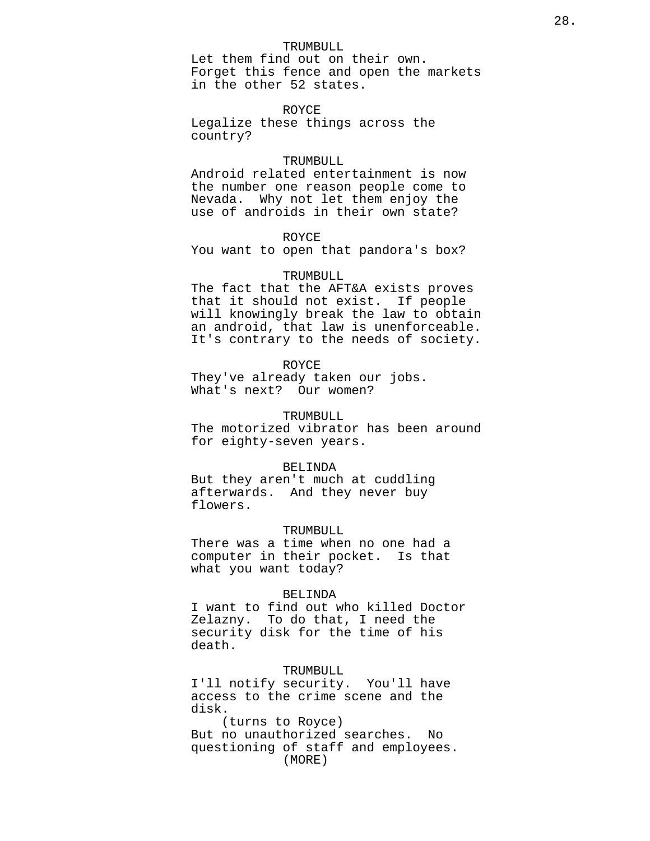#### TRUMBULL

Let them find out on their own. Forget this fence and open the markets in the other 52 states.

ROYCE Legalize these things across the country?

#### TRUMBULL

Android related entertainment is now the number one reason people come to Nevada. Why not let them enjoy the use of androids in their own state?

#### ROYCE

You want to open that pandora's box?

#### TRUMBULL

The fact that the AFT&A exists proves that it should not exist. If people will knowingly break the law to obtain an android, that law is unenforceable. It's contrary to the needs of society.

#### ROYCE

They've already taken our jobs. What's next? Our women?

#### TRUMBULL

The motorized vibrator has been around for eighty-seven years.

#### BELINDA

But they aren't much at cuddling afterwards. And they never buy flowers.

#### TRUMBULL

There was a time when no one had a computer in their pocket. Is that what you want today?

#### BELINDA

I want to find out who killed Doctor Zelazny. To do that, I need the security disk for the time of his death.

#### TRUMBULL

I'll notify security. You'll have access to the crime scene and the disk.

(turns to Royce) But no unauthorized searches. No questioning of staff and employees. (MORE)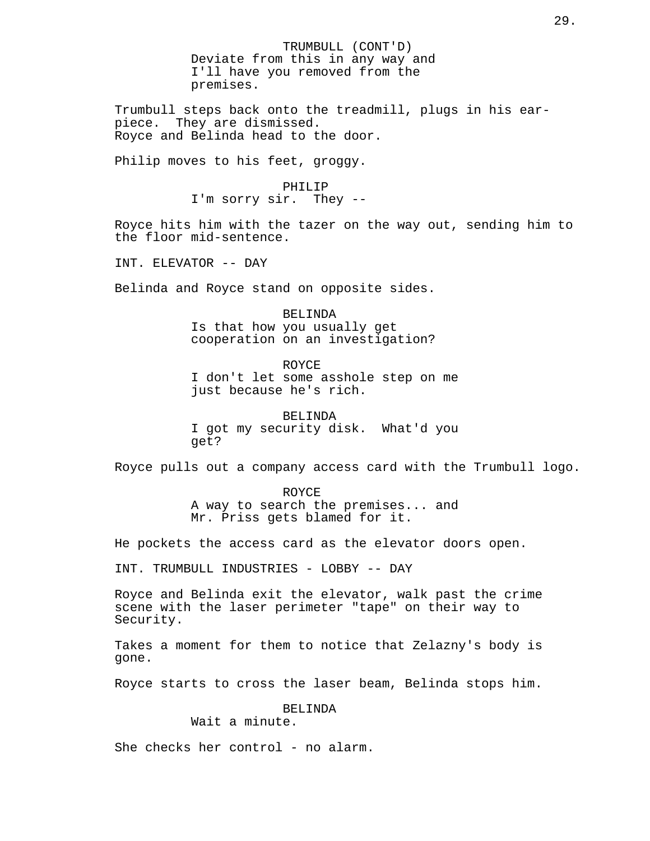TRUMBULL (CONT'D) Deviate from this in any way and I'll have you removed from the premises.

Trumbull steps back onto the treadmill, plugs in his earpiece. They are dismissed. Royce and Belinda head to the door.

Philip moves to his feet, groggy.

#### PHILIP

I'm sorry sir. They --

Royce hits him with the tazer on the way out, sending him to the floor mid-sentence.

INT. ELEVATOR -- DAY

Belinda and Royce stand on opposite sides.

BELINDA Is that how you usually get cooperation on an investigation?

ROYCE I don't let some asshole step on me just because he's rich.

BELINDA I got my security disk. What'd you get?

Royce pulls out a company access card with the Trumbull logo.

ROYCE A way to search the premises... and Mr. Priss gets blamed for it.

He pockets the access card as the elevator doors open.

INT. TRUMBULL INDUSTRIES - LOBBY -- DAY

Royce and Belinda exit the elevator, walk past the crime scene with the laser perimeter "tape" on their way to Security.

Takes a moment for them to notice that Zelazny's body is gone.

Royce starts to cross the laser beam, Belinda stops him.

BELINDA

Wait a minute.

She checks her control - no alarm.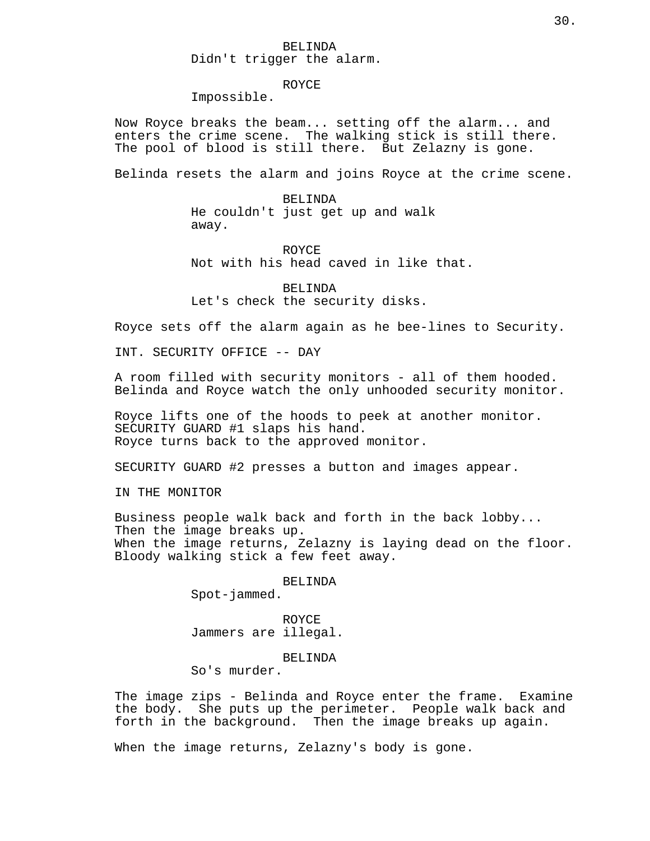## BELINDA Didn't trigger the alarm.

## ROYCE

Impossible.

Now Royce breaks the beam... setting off the alarm... and enters the crime scene. The walking stick is still there. The pool of blood is still there. But Zelazny is gone.

Belinda resets the alarm and joins Royce at the crime scene.

BELINDA He couldn't just get up and walk away.

ROYCE Not with his head caved in like that.

BELINDA Let's check the security disks.

Royce sets off the alarm again as he bee-lines to Security.

INT. SECURITY OFFICE -- DAY

A room filled with security monitors - all of them hooded. Belinda and Royce watch the only unhooded security monitor.

Royce lifts one of the hoods to peek at another monitor. SECURITY GUARD #1 slaps his hand. Royce turns back to the approved monitor.

SECURITY GUARD #2 presses a button and images appear.

IN THE MONITOR

Business people walk back and forth in the back lobby... Then the image breaks up. When the image returns, Zelazny is laying dead on the floor. Bloody walking stick a few feet away.

## BELINDA

Spot-jammed.

ROYCE Jammers are illegal.

BELINDA

So's murder.

The image zips - Belinda and Royce enter the frame. Examine the body. She puts up the perimeter. People walk back and forth in the background. Then the image breaks up again.

When the image returns, Zelazny's body is gone.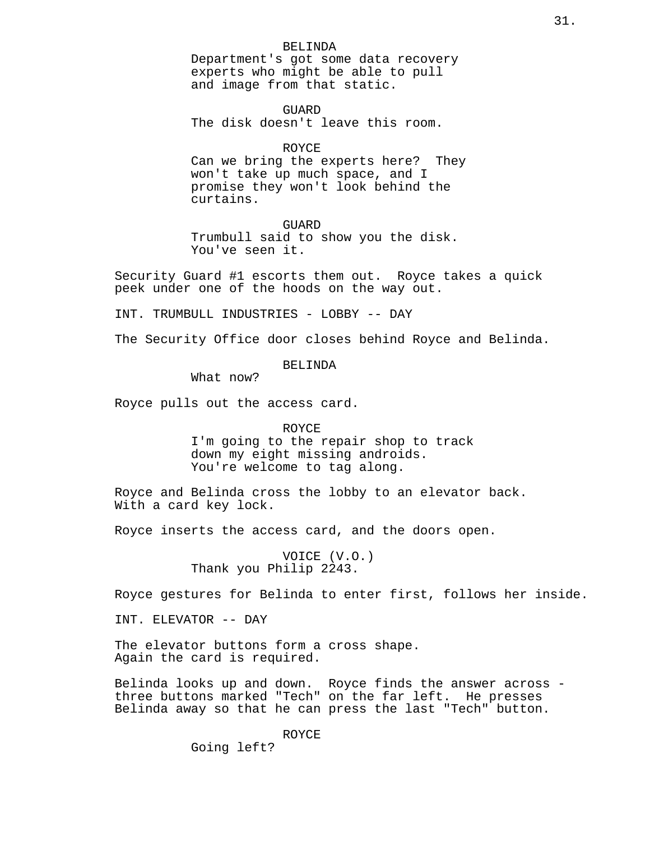BELINDA Department's got some data recovery experts who might be able to pull and image from that static.

**GUARD** The disk doesn't leave this room.

#### ROYCE

Can we bring the experts here? They won't take up much space, and I promise they won't look behind the curtains.

**GUARD** 

Trumbull said to show you the disk. You've seen it.

Security Guard #1 escorts them out. Royce takes a quick peek under one of the hoods on the way out.

INT. TRUMBULL INDUSTRIES - LOBBY -- DAY

The Security Office door closes behind Royce and Belinda.

#### BELINDA

What now?

Royce pulls out the access card.

ROYCE I'm going to the repair shop to track down my eight missing androids. You're welcome to tag along.

Royce and Belinda cross the lobby to an elevator back. With a card key lock.

Royce inserts the access card, and the doors open.

VOICE (V.O.) Thank you Philip 2243.

Royce gestures for Belinda to enter first, follows her inside.

INT. ELEVATOR -- DAY

The elevator buttons form a cross shape. Again the card is required.

Belinda looks up and down. Royce finds the answer across three buttons marked "Tech" on the far left. He presses Belinda away so that he can press the last "Tech" button.

ROYCE

Going left?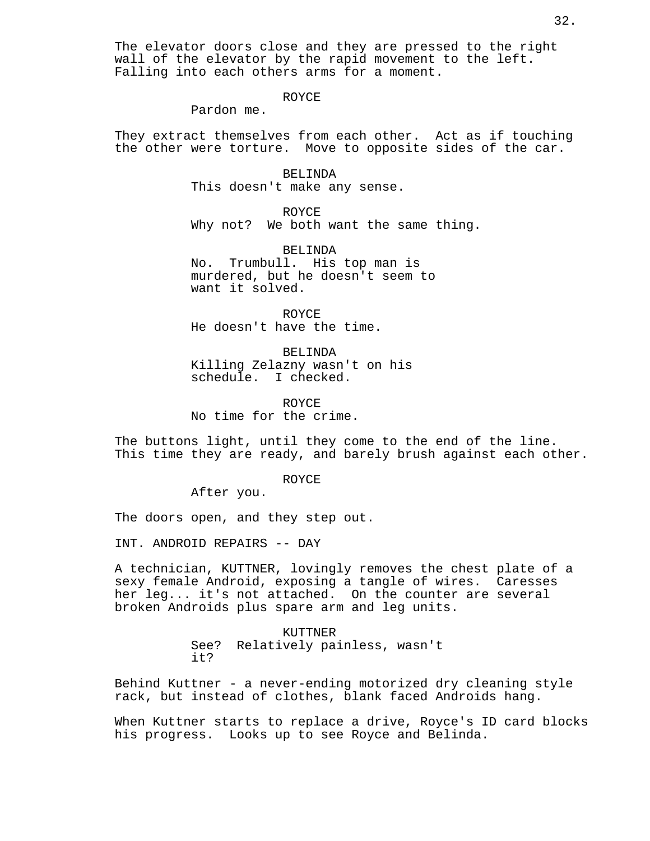#### ROYCE

Pardon me.

They extract themselves from each other. Act as if touching the other were torture. Move to opposite sides of the car.

> BELINDA This doesn't make any sense.

ROYCE Why not? We both want the same thing.

BELINDA No. Trumbull. His top man is murdered, but he doesn't seem to want it solved.

ROYCE He doesn't have the time.

BELINDA Killing Zelazny wasn't on his schedule. I checked.

ROYCE No time for the crime.

The buttons light, until they come to the end of the line. This time they are ready, and barely brush against each other.

ROYCE

After you.

The doors open, and they step out.

INT. ANDROID REPAIRS -- DAY

A technician, KUTTNER, lovingly removes the chest plate of a sexy female Android, exposing a tangle of wires. Caresses her leg... it's not attached. On the counter are several broken Androids plus spare arm and leg units.

> KUTTNER See? Relatively painless, wasn't it?

Behind Kuttner - a never-ending motorized dry cleaning style rack, but instead of clothes, blank faced Androids hang.

When Kuttner starts to replace a drive, Royce's ID card blocks his progress. Looks up to see Royce and Belinda.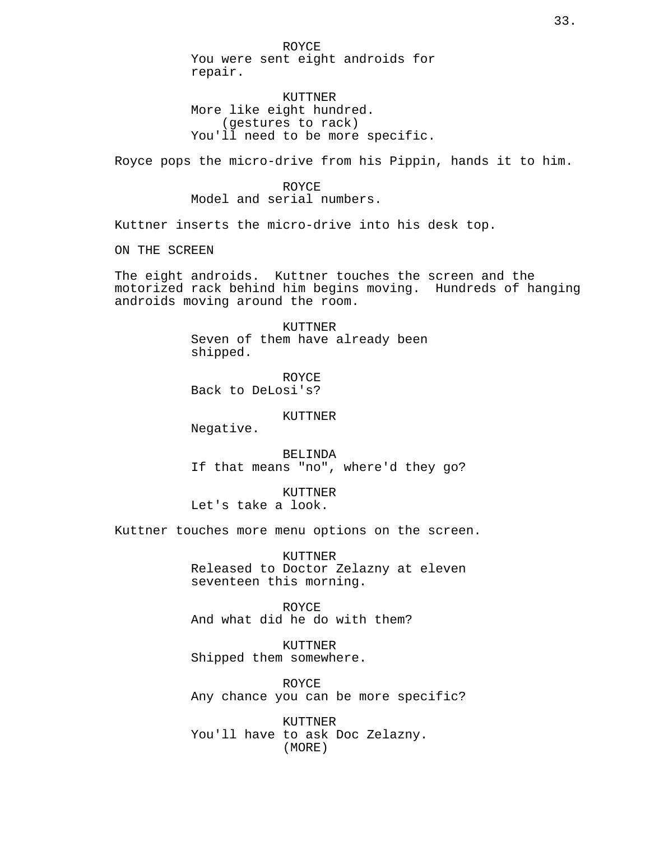ROYCE You were sent eight androids for repair.

KUTTNER More like eight hundred. (gestures to rack) You'll need to be more specific.

Royce pops the micro-drive from his Pippin, hands it to him.

ROYCE Model and serial numbers.

Kuttner inserts the micro-drive into his desk top.

ON THE SCREEN

The eight androids. Kuttner touches the screen and the motorized rack behind him begins moving. Hundreds of hanging androids moving around the room.

> KUTTNER Seven of them have already been shipped.

ROYCE Back to DeLosi's?

#### KUTTNER

Negative.

BELINDA If that means "no", where'd they go?

KUTTNER Let's take a look.

Kuttner touches more menu options on the screen.

KUTTNER Released to Doctor Zelazny at eleven seventeen this morning.

ROYCE And what did he do with them?

KUTTNER Shipped them somewhere.

ROYCE Any chance you can be more specific?

KUTTNER You'll have to ask Doc Zelazny. (MORE)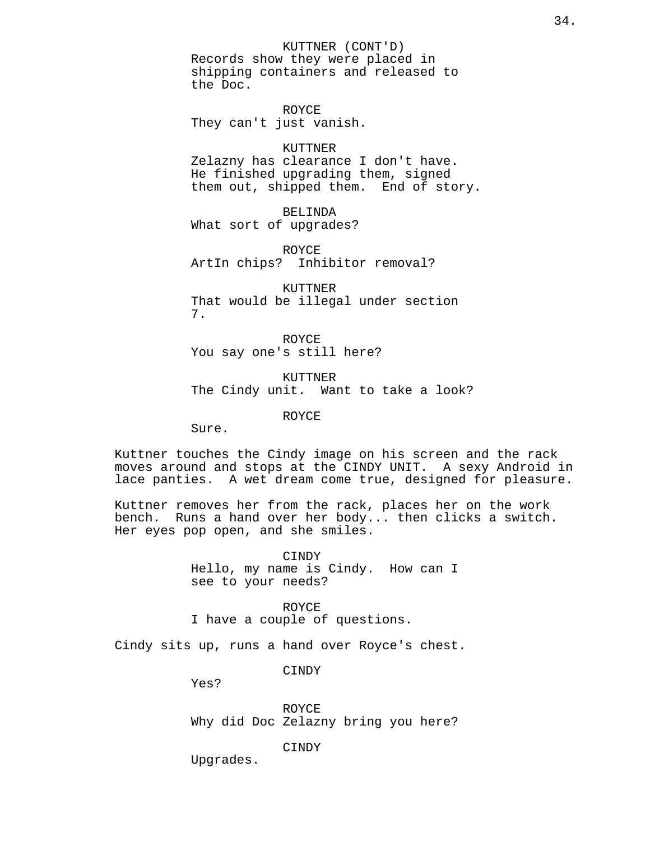KUTTNER (CONT'D) Records show they were placed in shipping containers and released to the Doc.

ROYCE They can't just vanish.

#### KUTTNER

Zelazny has clearance I don't have. He finished upgrading them, signed them out, shipped them. End of story.

BELINDA What sort of upgrades?

ROYCE ArtIn chips? Inhibitor removal?

KUTTNER That would be illegal under section 7.

ROYCE You say one's still here?

KUTTNER The Cindy unit. Want to take a look?

ROYCE

Sure.

Kuttner touches the Cindy image on his screen and the rack moves around and stops at the CINDY UNIT. A sexy Android in lace panties. A wet dream come true, designed for pleasure.

Kuttner removes her from the rack, places her on the work bench. Runs a hand over her body... then clicks a switch. Her eyes pop open, and she smiles.

> CINDY Hello, my name is Cindy. How can I see to your needs?

ROYCE I have a couple of questions.

Cindy sits up, runs a hand over Royce's chest.

CINDY

Yes?

ROYCE Why did Doc Zelazny bring you here?

CINDY

Upgrades.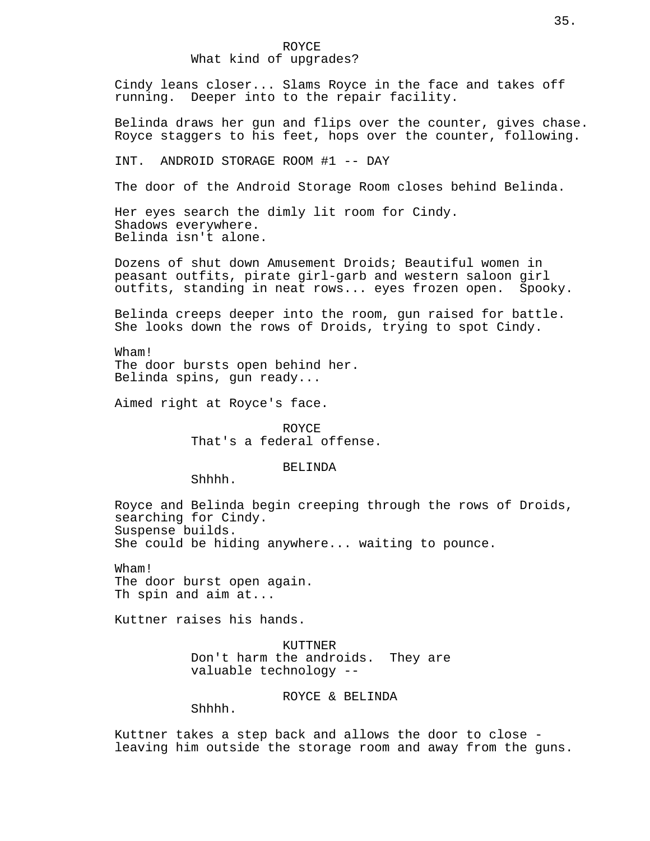## ROYCE What kind of upgrades?

Cindy leans closer... Slams Royce in the face and takes off running. Deeper into to the repair facility.

Belinda draws her gun and flips over the counter, gives chase. Royce staggers to his feet, hops over the counter, following.

INT. ANDROID STORAGE ROOM #1 -- DAY

The door of the Android Storage Room closes behind Belinda.

Her eyes search the dimly lit room for Cindy. Shadows everywhere. Belinda isn't alone.

Dozens of shut down Amusement Droids; Beautiful women in peasant outfits, pirate girl-garb and western saloon girl outfits, standing in neat rows... eyes frozen open. Spooky.

Belinda creeps deeper into the room, gun raised for battle. She looks down the rows of Droids, trying to spot Cindy.

Wham! The door bursts open behind her. Belinda spins, gun ready...

Aimed right at Royce's face.

ROYCE That's a federal offense.

#### BELINDA

Shhhh.

Royce and Belinda begin creeping through the rows of Droids, searching for Cindy. Suspense builds. She could be hiding anywhere... waiting to pounce.

Wham! The door burst open again. Th spin and aim at...

Kuttner raises his hands.

KUTTNER Don't harm the androids. They are valuable technology --

ROYCE & BELINDA

Shhhh.

Kuttner takes a step back and allows the door to close leaving him outside the storage room and away from the guns.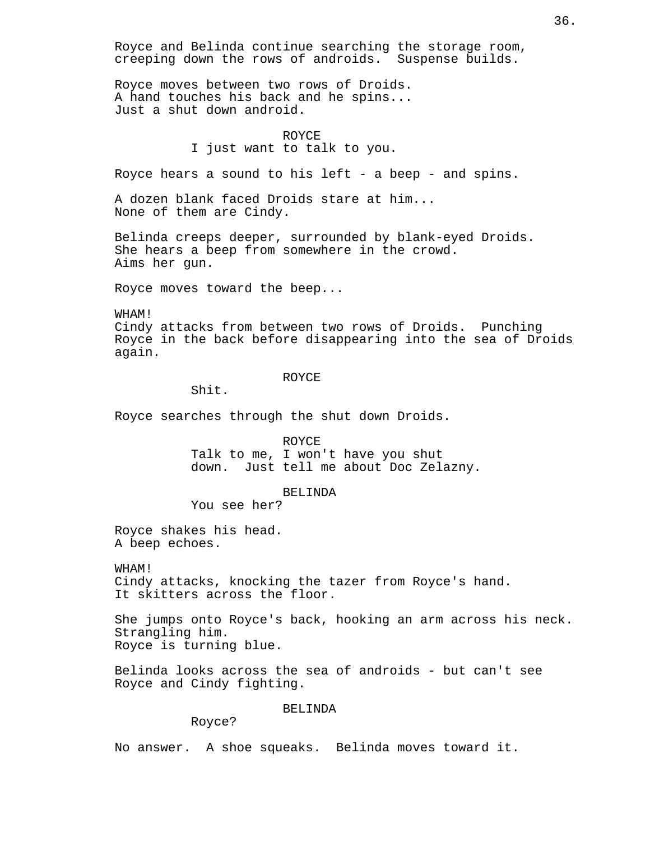Royce and Belinda continue searching the storage room, creeping down the rows of androids. Suspense builds.

Royce moves between two rows of Droids. A hand touches his back and he spins... Just a shut down android.

## ROYCE I just want to talk to you.

Royce hears a sound to his left - a beep - and spins.

A dozen blank faced Droids stare at him... None of them are Cindy.

Belinda creeps deeper, surrounded by blank-eyed Droids. She hears a beep from somewhere in the crowd. Aims her gun.

Royce moves toward the beep...

WHAM!

Cindy attacks from between two rows of Droids. Punching Royce in the back before disappearing into the sea of Droids again.

#### ROYCE

Shit.

Royce searches through the shut down Droids.

ROYCE Talk to me, I won't have you shut down. Just tell me about Doc Zelazny.

#### BELINDA

You see her?

Royce shakes his head. A beep echoes.

## WHAM!

Cindy attacks, knocking the tazer from Royce's hand. It skitters across the floor.

She jumps onto Royce's back, hooking an arm across his neck. Strangling him. Royce is turning blue.

Belinda looks across the sea of androids - but can't see Royce and Cindy fighting.

#### BELINDA

Royce?

No answer. A shoe squeaks. Belinda moves toward it.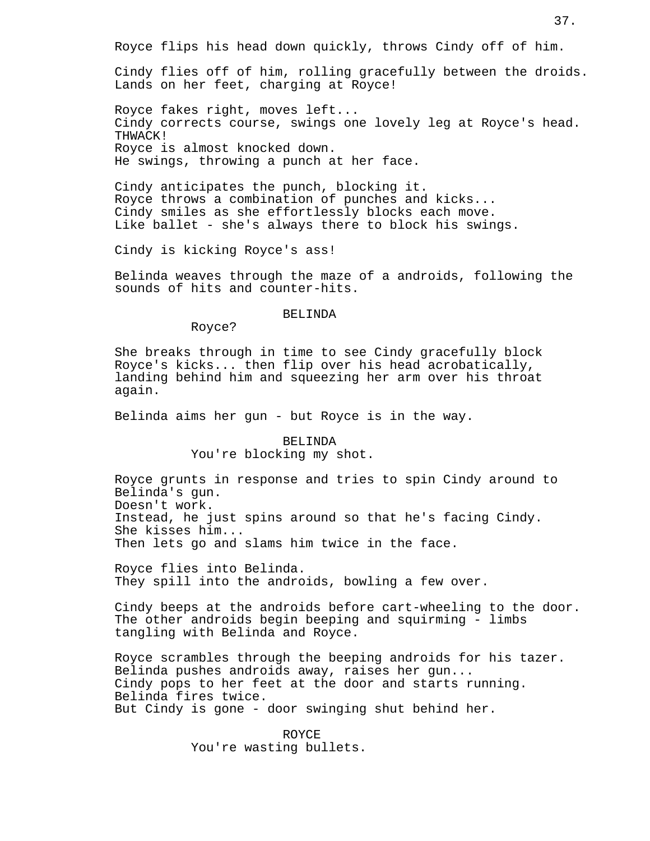Royce flips his head down quickly, throws Cindy off of him.

Cindy flies off of him, rolling gracefully between the droids. Lands on her feet, charging at Royce!

Royce fakes right, moves left... Cindy corrects course, swings one lovely leg at Royce's head. THWACK! Royce is almost knocked down. He swings, throwing a punch at her face.

Cindy anticipates the punch, blocking it. Royce throws a combination of punches and kicks... Cindy smiles as she effortlessly blocks each move. Like ballet - she's always there to block his swings.

Cindy is kicking Royce's ass!

Belinda weaves through the maze of a androids, following the sounds of hits and counter-hits.

## BELINDA

Royce?

She breaks through in time to see Cindy gracefully block Royce's kicks... then flip over his head acrobatically, landing behind him and squeezing her arm over his throat again.

Belinda aims her gun - but Royce is in the way.

#### BELINDA

You're blocking my shot.

Royce grunts in response and tries to spin Cindy around to Belinda's gun. Doesn't work. Instead, he just spins around so that he's facing Cindy. She kisses him... Then lets go and slams him twice in the face.

Royce flies into Belinda. They spill into the androids, bowling a few over.

Cindy beeps at the androids before cart-wheeling to the door. The other androids begin beeping and squirming - limbs tangling with Belinda and Royce.

Royce scrambles through the beeping androids for his tazer. Belinda pushes androids away, raises her gun... Cindy pops to her feet at the door and starts running. Belinda fires twice. But Cindy is gone - door swinging shut behind her.

> ROYCE You're wasting bullets.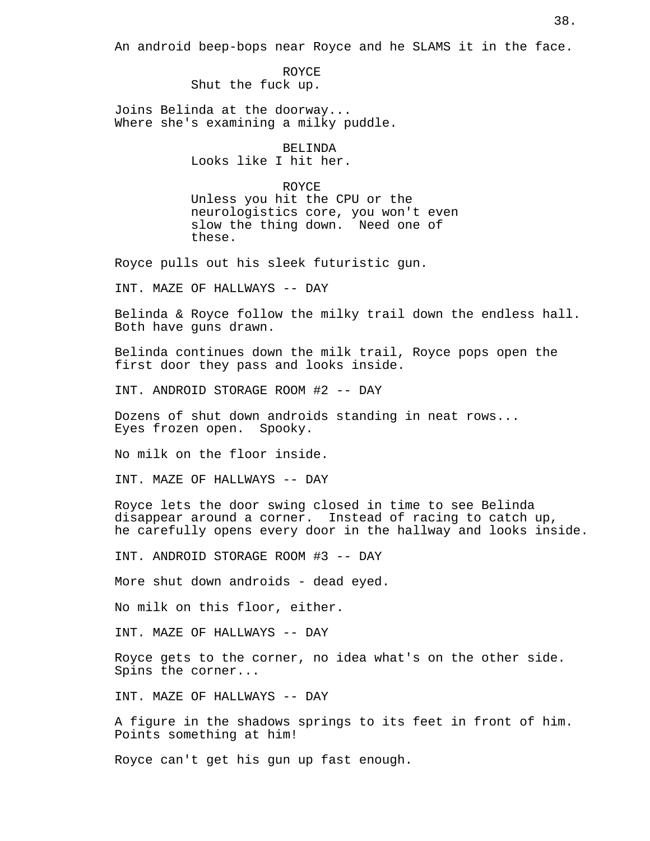An android beep-bops near Royce and he SLAMS it in the face.

ROYCE Shut the fuck up.

Joins Belinda at the doorway... Where she's examining a milky puddle.

BELINDA

Looks like I hit her.

ROYCE

Unless you hit the CPU or the neurologistics core, you won't even slow the thing down. Need one of these.

Royce pulls out his sleek futuristic gun.

INT. MAZE OF HALLWAYS -- DAY

Belinda & Royce follow the milky trail down the endless hall. Both have guns drawn.

Belinda continues down the milk trail, Royce pops open the first door they pass and looks inside.

INT. ANDROID STORAGE ROOM #2 -- DAY

Dozens of shut down androids standing in neat rows... Eyes frozen open. Spooky.

No milk on the floor inside.

INT. MAZE OF HALLWAYS -- DAY

Royce lets the door swing closed in time to see Belinda disappear around a corner. Instead of racing to catch up, he carefully opens every door in the hallway and looks inside.

INT. ANDROID STORAGE ROOM #3 -- DAY

More shut down androids - dead eyed.

No milk on this floor, either.

INT. MAZE OF HALLWAYS -- DAY

Royce gets to the corner, no idea what's on the other side. Spins the corner...

INT. MAZE OF HALLWAYS -- DAY

A figure in the shadows springs to its feet in front of him. Points something at him!

Royce can't get his gun up fast enough.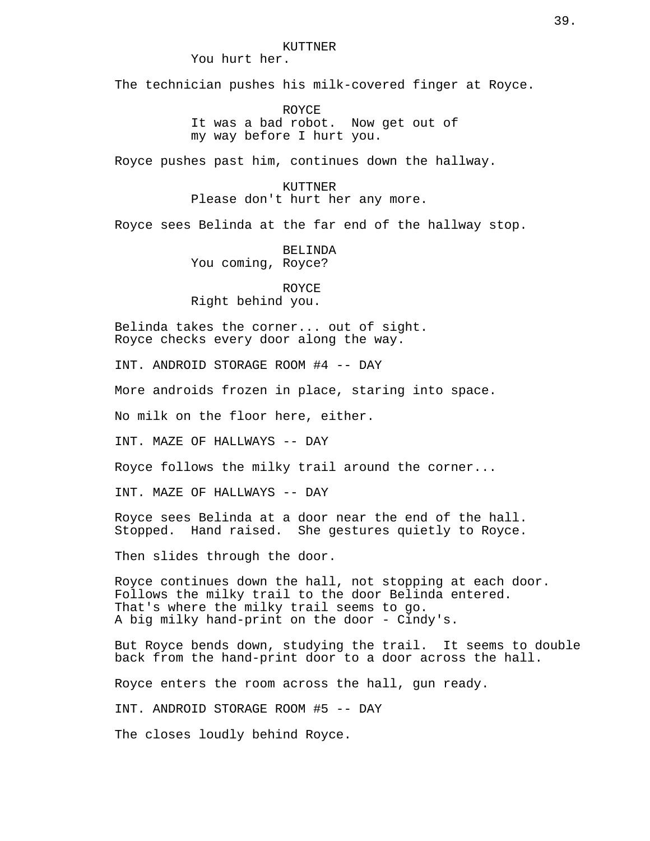#### KUTTNER

You hurt her.

The technician pushes his milk-covered finger at Royce.

ROYCE It was a bad robot. Now get out of my way before I hurt you.

Royce pushes past him, continues down the hallway.

KUTTNER Please don't hurt her any more.

Royce sees Belinda at the far end of the hallway stop.

BELINDA You coming, Royce?

ROYCE Right behind you.

Belinda takes the corner... out of sight. Royce checks every door along the way.

INT. ANDROID STORAGE ROOM #4 -- DAY

More androids frozen in place, staring into space.

No milk on the floor here, either.

INT. MAZE OF HALLWAYS -- DAY

Royce follows the milky trail around the corner...

INT. MAZE OF HALLWAYS -- DAY

Royce sees Belinda at a door near the end of the hall. Stopped. Hand raised. She gestures quietly to Royce.

Then slides through the door.

Royce continues down the hall, not stopping at each door. Follows the milky trail to the door Belinda entered. That's where the milky trail seems to go. A big milky hand-print on the door - Cindy's.

But Royce bends down, studying the trail. It seems to double back from the hand-print door to a door across the hall.

Royce enters the room across the hall, gun ready.

INT. ANDROID STORAGE ROOM #5 -- DAY

The closes loudly behind Royce.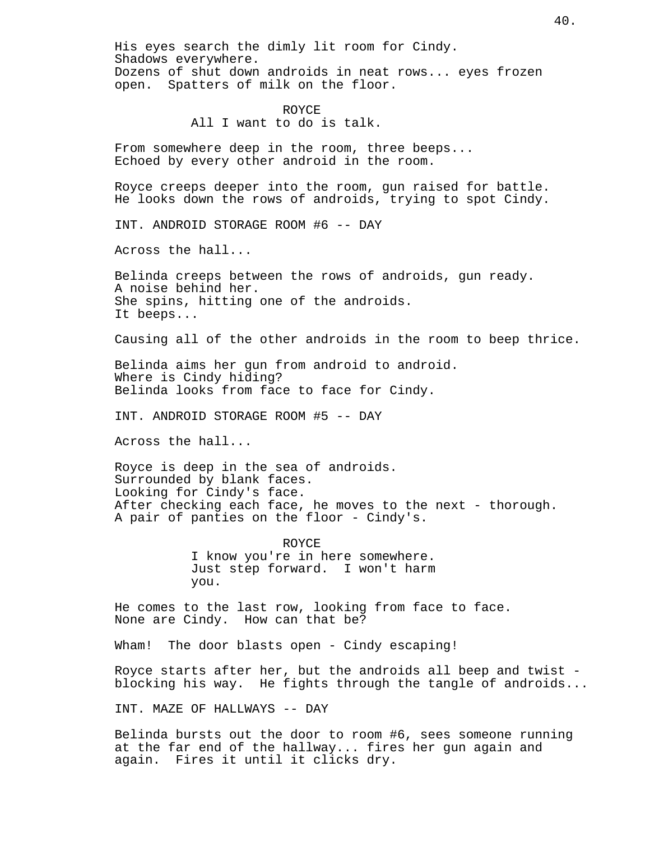His eyes search the dimly lit room for Cindy. Shadows everywhere. Dozens of shut down androids in neat rows... eyes frozen open. Spatters of milk on the floor.

## ROYCE All I want to do is talk.

From somewhere deep in the room, three beeps... Echoed by every other android in the room.

Royce creeps deeper into the room, gun raised for battle. He looks down the rows of androids, trying to spot Cindy.

INT. ANDROID STORAGE ROOM #6 -- DAY

Across the hall...

Belinda creeps between the rows of androids, gun ready. A noise behind her. She spins, hitting one of the androids. It beeps...

Causing all of the other androids in the room to beep thrice.

Belinda aims her gun from android to android. Where is Cindy hiding? Belinda looks from face to face for Cindy.

INT. ANDROID STORAGE ROOM #5 -- DAY

Across the hall...

Royce is deep in the sea of androids. Surrounded by blank faces. Looking for Cindy's face. After checking each face, he moves to the next - thorough. A pair of panties on the floor - Cindy's.

> ROYCE I know you're in here somewhere. Just step forward. I won't harm you.

He comes to the last row, looking from face to face. None are Cindy. How can that be?

Wham! The door blasts open - Cindy escaping!

Royce starts after her, but the androids all beep and twist blocking his way. He fights through the tangle of androids...

INT. MAZE OF HALLWAYS -- DAY

Belinda bursts out the door to room #6, sees someone running at the far end of the hallway... fires her gun again and again. Fires it until it clicks dry.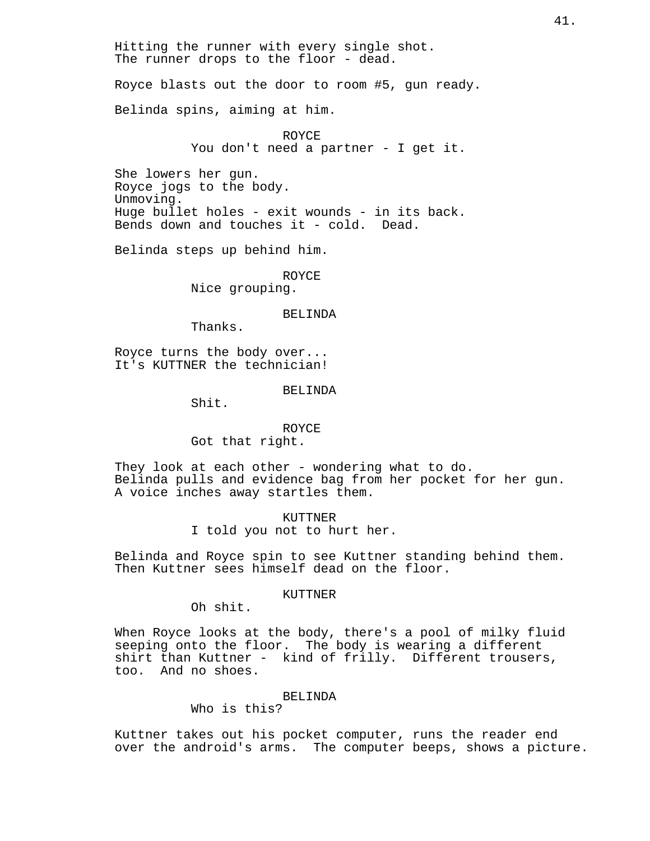Hitting the runner with every single shot. The runner drops to the floor - dead.

Royce blasts out the door to room #5, gun ready.

Belinda spins, aiming at him.

ROYCE You don't need a partner - I get it.

She lowers her gun. Royce jogs to the body. Unmoving. Huge bullet holes - exit wounds - in its back. Bends down and touches it - cold. Dead.

Belinda steps up behind him.

ROYCE Nice grouping.

BELINDA

Thanks.

Royce turns the body over... It's KUTTNER the technician!

#### BELINDA

Shit.

## ROYCE

Got that right.

They look at each other - wondering what to do. Belinda pulls and evidence bag from her pocket for her gun. A voice inches away startles them.

> KUTTNER I told you not to hurt her.

Belinda and Royce spin to see Kuttner standing behind them. Then Kuttner sees himself dead on the floor.

## KUTTNER

Oh shit.

When Royce looks at the body, there's a pool of milky fluid seeping onto the floor. The body is wearing a different shirt than Kuttner - kind of frilly. Different trousers, too. And no shoes.

### BELINDA

Who is this?

Kuttner takes out his pocket computer, runs the reader end over the android's arms. The computer beeps, shows a picture.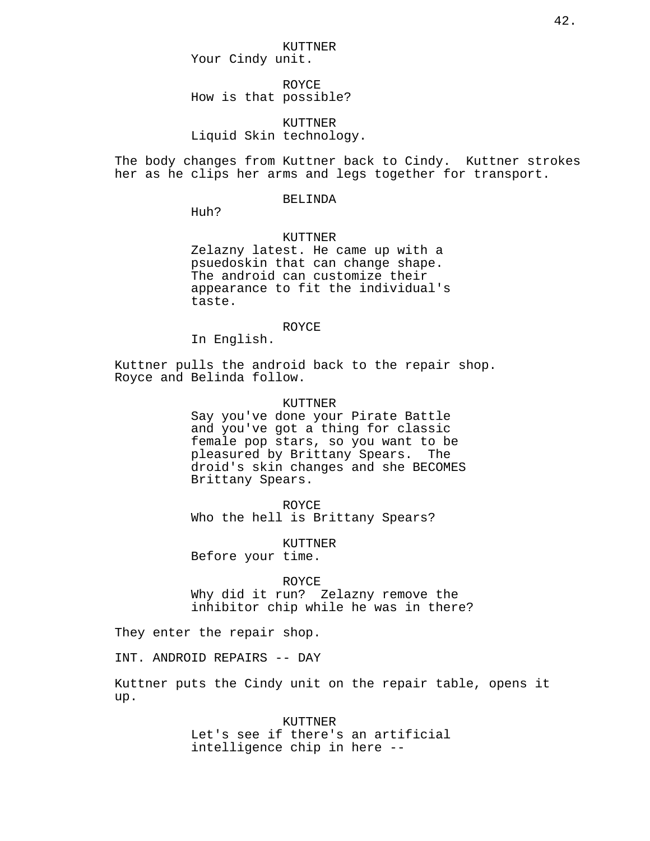ROYCE How is that possible?

KUTTNER Liquid Skin technology.

The body changes from Kuttner back to Cindy. Kuttner strokes her as he clips her arms and legs together for transport.

## BELINDA

Huh?

#### KUTTNER

Zelazny latest. He came up with a psuedoskin that can change shape. The android can customize their appearance to fit the individual's taste.

## ROYCE

In English.

Kuttner pulls the android back to the repair shop. Royce and Belinda follow.

#### KUTTNER

Say you've done your Pirate Battle and you've got a thing for classic female pop stars, so you want to be pleasured by Brittany Spears. The droid's skin changes and she BECOMES Brittany Spears.

ROYCE Who the hell is Brittany Spears?

KUTTNER Before your time.

ROYCE Why did it run? Zelazny remove the inhibitor chip while he was in there?

They enter the repair shop.

INT. ANDROID REPAIRS -- DAY

Kuttner puts the Cindy unit on the repair table, opens it up.

> KUTTNER Let's see if there's an artificial intelligence chip in here --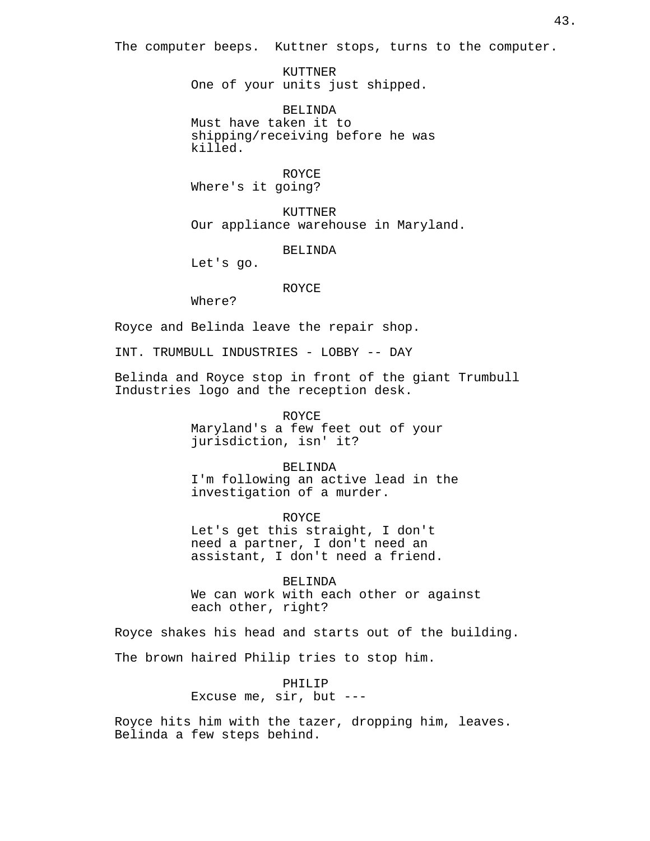The computer beeps. Kuttner stops, turns to the computer.

KUTTNER One of your units just shipped.

BELINDA Must have taken it to shipping/receiving before he was killed.

ROYCE Where's it going?

KUTTNER Our appliance warehouse in Maryland.

BELINDA

Let's go.

#### ROYCE

Where?

Royce and Belinda leave the repair shop.

INT. TRUMBULL INDUSTRIES - LOBBY -- DAY

Belinda and Royce stop in front of the giant Trumbull Industries logo and the reception desk.

> ROYCE Maryland's a few feet out of your jurisdiction, isn' it?

BELINDA I'm following an active lead in the investigation of a murder.

ROYCE Let's get this straight, I don't need a partner, I don't need an assistant, I don't need a friend.

BELINDA We can work with each other or against each other, right?

Royce shakes his head and starts out of the building.

The brown haired Philip tries to stop him.

PHILIP Excuse me, sir, but ---

Royce hits him with the tazer, dropping him, leaves. Belinda a few steps behind.